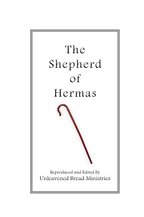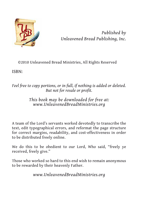

*Published by [Unleavened Bread Publishing](http://www.UnleavenedBreadPublishing.org), Inc.*

©2010 Unleavened Bread Ministries, All Rights Reserved

ISBN:

## *Feel free to copy portions, or in full, if nothing is added or deleted. But not for resale or profit.*

## *This book may be downloaded for free at: [www.UnleavenedBreadMinistries.org](http://www.unleavenedbreadministries.org)*

A team of the Lord's servants worked devotedly to transcribe the text, edit typographical errors, and reformat the page structure for correct margins, readability, and cost-effectiveness in order to be distributed freely online.

We do this to be obedient to our Lord, Who said, "freely ye received, freely give."

Those who worked so hard to this end wish to remain anonymous to be rewarded by their heavenly Father.

*[www.UnleavenedBreadMinistries.org](http://www.unleavenedbreadministries.org)*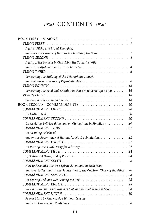# $\sim$  CONTENTS  $\sim$

| Against Filthy and Proud Thoughts,                                         |    |
|----------------------------------------------------------------------------|----|
| and the Carelessness of Hermas in Chastising His Sons 1                    |    |
|                                                                            |    |
| Again, of His Neglect in Chastising His Talkative Wife                     |    |
|                                                                            |    |
|                                                                            |    |
| Concerning the Building of the Triumphant Church,                          |    |
|                                                                            |    |
|                                                                            |    |
| Concerning the Trial and Tribulation that are to Come Upon Men             | 16 |
|                                                                            | 18 |
|                                                                            | 18 |
| BOOK SECOND - COMMANDMENTS                                                 | 20 |
|                                                                            | 20 |
|                                                                            | 20 |
|                                                                            | 20 |
| On Avoiding Evil-Speaking, and on Giving Alms in Simplicity                | 20 |
|                                                                            | 21 |
| On Avoiding Falsehood,                                                     |    |
|                                                                            |    |
|                                                                            |    |
|                                                                            | 22 |
|                                                                            | 24 |
|                                                                            | 24 |
|                                                                            | 26 |
| How to Recognise the Two Spirits Attendant on Each Man,                    |    |
| and How to Distinguish the Suggestions of the One from Those of the Other. | 26 |
|                                                                            | 28 |
|                                                                            |    |
|                                                                            |    |
| We Ought to Shun that Which is Evil, and Do that Which is Good 28          |    |
|                                                                            |    |
| Prayer Must Be Made to God Without Ceasing                                 |    |
|                                                                            | 30 |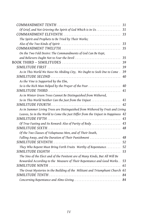|                                                                                 | 31 |
|---------------------------------------------------------------------------------|----|
| Of Grief, and Not Grieving the Spirit of God Which is in Us                     | 31 |
|                                                                                 | 33 |
| The Spirit and Prophets to Be Tried by Their Works;                             |    |
|                                                                                 | 33 |
|                                                                                 | 35 |
| On the Two Fold Desire: The Commandments of God Can Be Kept,                    |    |
| and Believers Ought Not to Fear the Devil                                       | 35 |
|                                                                                 | 39 |
|                                                                                 | 39 |
| As in This World We Have No Abiding City, We Ought to Seek One to Come.         | 39 |
|                                                                                 | 40 |
| As the Vine is Supported by the Elm,                                            |    |
|                                                                                 | 40 |
|                                                                                 | 41 |
| As in Winter Green Trees Cannot Be Distinguished from Withered,                 |    |
| So in This World Neither Can the Just from the Unjust                           | 41 |
|                                                                                 | 42 |
| As in Summer Living Trees are Distinguished from Withered by Fruit and Living   |    |
| Leaves, So in the World to Come the Just Differ from the Unjust in Happiness 42 |    |
|                                                                                 | 43 |
| Of True Fasting and Its Reward: Also of Purity of Body                          | 43 |
|                                                                                 | 48 |
| Of the Two Classes of Voluptuous Men, and of Their Death,                       |    |
| Falling Away, and the Duration of Their Punishment                              | 48 |
|                                                                                 | 52 |
| They Who Repent Must Bring Forth Fruits Worthy of Repentance                    | 52 |
|                                                                                 | 53 |
| The Sins of the Elect and of the Penitent are of Many Kinds, But All Will Be    |    |
| Rewarded According to the Measure of Their Repentance and Good Works            | 53 |
|                                                                                 | 61 |
| The Great Mysteries in the Building of the Militant and Triumphant Church 61    |    |
|                                                                                 | 84 |
| Concerning Repentance and Alms-Giving                                           | 84 |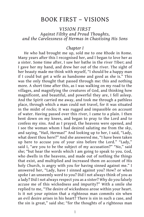## BOOK FIRST – VISIONS

## *VISION FIRST Against Filthy and Proud Thoughts, and the Carelessness of Hermas in Chastising His Sons*

#### *Chapter I*

He who had brought me up, sold me to one Rhode in Rome. Many years after this I recognised her, and I began to love her as a sister. Some time after, I saw her bathe in the river Tiber; and I gave her my hand, and drew her out of the river. The sight of her beauty made me think with myself, "I should be a happy man if I could but get a wife as handsome and good as she is." This was the only thought that passed through me: this and nothing more. A short time after this, as I was walking on my road to the villages, and magnifying the creatures of God, and thinking how magnificent, and beautiful, and powerful they are, I fell asleep. And the Spirit carried me away, and took me through a pathless place, through which a man could not travel, for it was situated in the midst of rocks; it was rugged and impassible on account of water. Having passed over this river, I came to a plain. I then bent down on my knees, and began to pray to the Lord and to confess my sins. And as I prayed, the heavens were opened, and I see the woman whom I had desired saluting me from the sky, and saying, "Hail, Hermas!" And looking up to her, I said, "Lady, what doest thou here?" And she answered me, "I have been taken up here to accuse you of your sins before the Lord." "Lady," said I, "are you to be the subject of my accusation?" "No," said she; "but hear the words which I am going to speak to you. God, who dwells in the heavens, and made out of nothing the things that exist, and multiplied and increased them on account of His holy Church, is angry with you for having sinned against me." I answered her, "Lady, have I sinned against you? How? or when spoke I an unseemly word to you? Did I not always think of you as a lady? Did I not always respect you as a sister? Why do you falsely accuse me of this wickedness and impurity?" With a smile she replied to me, "The desire of wickedness arose within your heart. Is it not your opinion that a righteous man commits sin when an evil desire arises in his heart? There is sin in such a case, and the sin is great," said she; "for the thoughts of a righteous man

1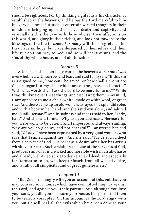should be righteous. For by thinking righteously his character is established in the heavens, and he has the Lord merciful to him in every business. But such as entertain wicked thoughts in their minds are bringing upon themselves death and captivity; and especially is this the case with those who set their affections on this world, and glory in their riches, and look not forward to the blessings of the life to come. For many will their regrets be; for they have no hope, but have despaired of themselves and their life. But do thou pray to God, and He will heal thy sins, and the sins of thy whole house, and of all the saints."

## *Chapter II*

After she had spoken these words, the heavens were shut. I was overwhelmed with sorrow and fear, and said to myself, "If this sin is assigned to me, how can I be saved, or how shall I propitiate God in regard to my sins, which are of the grossest character? With what words shall I ask the Lord to be merciful to me?" While I was thinking over these things, and discussing them in my mind, I saw opposite to me a chair, white, made of white wool, of great size. And there came up an old woman, arrayed in a splendid robe, and with a book in her hand; and she sat down alone, and saluted me, "Hail, Hermas!" And in sadness and tears I said to her, "Lady, hail!" And she said to me, "Why are you downcast, Hermas? for you were wont to be patient and temperate, and always smiling. Why are you so gloomy, and not cheerful?" I answered her and said, "O Lady, I have been reproached by a very good woman, who says that I sinned against her." And she said, "Far be such a deed from a servant of God. But perhaps a desire after her has arisen within your heart. Such a wish, in the case of the servants of God, produces sin. For it is a wicked and horrible wish in an all-chaste and already well-tried spirit to desire an evil deed; and especially for Hermas so to do, who keeps himself from all wicked desire, and is full of all simplicity, and of great guilelessness."

## *Chapter III*

"But God is not angry with you on account of this, but that you may convert your house, which have committed iniquity against the Lord, and against you, their parents. And although you love your sons, yet did you not warn your house, but permitted them to be terribly corrupted. On this account is the Lord angry with you, but He will heal all the evils which have been done in your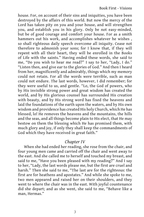house. For, on account of their sins and iniquities, you have been destroyed by the affairs of this world. But now the mercy of the Lord has taken pity on you and your house, and will strengthen you, and establish you in his glory. Only be not easy-minded, but be of good courage and comfort your house. For as a smith hammers out his work, and accomplishes whatever he wishes , so shall righteous daily speech overcome all iniquity. Cease not therefore to admonish your sons; for I know that, if they will repent with all their heart, they will be enrolled in the Books of Life with the saints." Having ended these words, she said to me, "Do you wish to hear me read?" I say to her, "Lady, I do." "Listen then, and give ear to the glories of God." And then I heard from her, magnificently and admirably, things which my memory could not retain. For all the words were terrible, such as man could not endure. The last words, however, I did remember; for they were useful to us, and gentle. "Lo, the God of powers, who by His invisible strong power and great wisdom has created the world, and by His glorious counsel has surrounded His creation with beauty, and by His strong word has fixed the heavens and laid the foundations of the earth upon the waters, and by His own wisdom and providence has created His holy Church, which He has blessed, lo! He removes the heavens and the mountains, the hills and the seas, and all things become plain to His elect, that He may bestow on them the blessing which He has promised them, with much glory and joy, if only they shall keep the commandments of God which they have received in great faith."

## *Chapter IV*

When she had ended her reading, she rose from the chair, and four young men came and carried off the chair and went away to the east. And she called me to herself and touched my breast, and said to me, "Have you been pleased with my reading?" And I say to her, "Lady, the last words please me, but the first are cruel and harsh." Then she said to me, "The last are for the righteous: the first are for heathens and apostates." And while she spoke to me, two men appeared and raised her on their shoulders, and they went to where the chair was in the east. With joyful countenance did she depart; and as she went, she said to me, "Behave like a man, Hermas."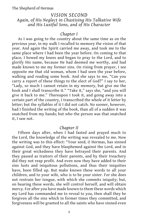## *VISION SECOND Again, of His Neglect in Chastising His Talkative Wife and His Lustful Sons, and of His Character*

#### *Chapter I*

As I was going to the country about the same time as on the previous year, in my walk I recalled to memory the vision of that year. And again the Spirit carried me away, and took me to the same place where I had been the year before. On coming to that place, I bowed my knees and began to pray to the Lord, and to glorify His name, because He had deemed me worthy, and had made known to me my former sins. On rising from prayer, I see opposite me that old woman, whom I had seen the year before, walking and reading some book. And she says to me, "Can you carry a report of these things to the elect of God?" I say to her, "Lady, so much I cannot retain in my memory, but give me the book and I shall transcribe it." "Take it," says she, "and you will give it back to me." Thereupon I took it, and going away into a certain part of the country, I transcribed the whole of it letter by letter; but the syllables of it I did not catch. No sooner, however, had I finished the writing of the book, than all of a sudden it was snatched from my hands; but who the person was that snatched it, I saw not.

#### *Chapter II*

Fifteen days after, when I had fasted and prayed much to the Lord, the knowledge of the writing was revealed to me. Now the writing was to this effect: "Your seed, O Hermas, has sinned against God, and they have blasphemed against the Lord, and in their great wickedness they have betrayed their parents. And they passed as traitors of their parents, and by their treachery did they not reap profit. And even now they have added to their sins lusts and iniquitous pollutions, and thus their iniquities have, been filled up. But make known these words to all your children, and to your wife, who is to be your sister. For she does not restrain her tongue, with which she commits iniquity; but, on hearing these words, she will control herself, and will obtain mercy. For after you have made known to them these words which my Lord has commanded me to reveal to you, then shall they be forgiven all the sins which in former times they committed, and forgiveness will be granted to all the saints who have sinned even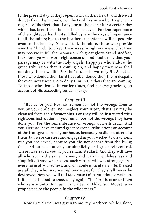to the present day, if they repent with all their heart, and drive all doubts from their minds. For the Lord has sworn by His glory, in regard to His elect, that if any one of them sin after a certain day which has been fixed, he shall not be saved. For the repentance of the righteous has limits. Filled up are the days of repentance to all the saints; but to the heathen, repentance will be possible even to the last day. You will tell, therefore, those who preside over the Church, to direct their ways in righteousness, that they may receive in full the promises with great glory. Stand stedfast, therefore, ye who work righteousness, and doubt not, that your passage may be with the holy angels. Happy ye who endure the great tribulation that is coming on, and happy they who shall not deny their own life. For the Lord hath sworn by His Son, that those who denied their Lord have abandoned their life in despair, for even now these are to deny Him in the days that are coming. To those who denied in earlier times, God became gracious, on account of His exceeding tender mercy."

#### *Chapter III*

"But as for you, Hermas, remember not the wrongs done to you by your children, nor neglect your sister, that they may be cleansed from their former sins. For they will be instructed with righteous instruction, if you remember not the wrongs they have done you. For the remembrance of wrongs worketh death. And you, Hermas, have endured great personal tribulations on account of the transgressions of your house, because you did not attend to them, but were careless and engaged in your wicked transactions. But you are saved, because you did not depart from the living God, and on account of your simplicity and great self-control. These have saved you, if you remain stedfast. And they will save all who act in the same manner, and walk in guilelessness and simplicity. Those who possess such virtues will wax strong against every form of wickedness, and will abide unto eternal life. Blessed are all they who practice righteousness, for they shall never be destroyed. Now you will tell Maximus: Lo! tribulation cometh on. If it seemeth good to thee, deny again. The Lord is near to them who return unto Him, as it is written in Eldad and Modat, who prophesied to the people in the wilderness."

## *Chapter IV*

Now a revelation was given to me, my brethren, while I slept,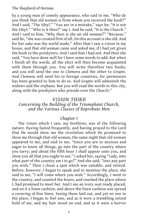by a young man of comely appearance, who said to me, "Who do you think that old woman is from whom you received the book?" And I said, "The Sibyl." "You are in a mistake," says he; "it is not the Sibyl." "Who is it then?" say I. And he said, "It is the Church." And I said to him, "Why then is she an old woman?" "Because," said he, "she was created first of all. On this account is she old. And for her sake was the world made." After that I saw a vision in my house, and that old woman came and asked me, if I had yet given the book to the presbyters. And I said that I had not. And then she said, "You have done well for I have some words to add. But when I finish all the words, all the elect will then become acquainted with them through you. You will write therefore two books, and you will send the one to Clemens and the other to Grapte. And Clemens will send his to foreign countries, for permission has been granted to him to do so. And Grapte will admonish the widows and the orphans. But you will read the words in this city, along with the presbyters who preside over the Church."

#### *VISION THIRD*

## *Concerning the Building of the Triumphant Church, and the Various Classes of Reprobate Men*

## *Chapter I*

The vision which I saw, my brethren, was of the following nature. Having fasted frequently, and having prayed to the Lord that He would show me the revelation which He promised to show me through that old woman, the same night that old woman appeared to me, and said to me, "Since you are so anxious and eager to know all things, go into the part of the country where you tarry; and about the fifth hour I shall appear unto you, and show you all that you ought to see." I asked her, saying "Lady, into what part of the country am I to go?" And she said, "Into any part you wish." Then I chose a spot which was suitable, and retired. Before, however, I began to speak and to mention the place, she said to me, "I will come where you wish." Accordingly, I went to the country, and counted the hours, and reached the place where I, had promised to meet her. And I see an ivory seat ready placed, and on it a linen cushion, and above the linen cushion was spread a covering of fine linen. Seeing these laid out, and yet no one in the place, I began to feel awe, and as it were a trembling seized hold of me, and my hair stood on end, and as it were a horror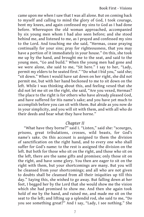came upon me when I saw that I was all alone. But on coming back to myself and calling to mind the glory of God, I took courage, bent my knees, and again confessed my sins to God as I had done before. Whereupon the old woman approached, accompanied by six young men whom I had also seen before; and she stood behind me, and listened to me, as I prayed and confessed my sins to the Lord. And touching me she said, "Hermas, cease praying continually for your sins; pray for righteousness, that you may have a portion of it immediately in your house." On this, she took me up by the hand, and brought me to the seat, and said to the young men, "Go and build." When the young men had gone and we were alone, she said to me, "Sit here." I say to her, "Lady, permit my elders to be seated first." "Do what I bid you," said she; "sit down." When I would have sat down on her right, she did not permit me, but with her hand beckoned to me to sit down on the left. While I was thinking about this, and feeling vexed that she did not let me sit on the right, she said, "Are you vexed, Hermas? The place to the right is for others who have already pleased God, and have suffered for His name's sake; and you have yet much to accomplish before you can sit with them. But abide as you now do in your simplicity, and you will sit with them, and with all who do their deeds and bear what they have borne."

#### *Chapter II*

"What have they borne?" said I. "Listen," said she: "scourges, prisons, great tribulations, crosses, wild beasts, for God's name's sake. On this account is assigned to them the division of sanctification on the right hand, and to every one who shall suffer for God's name: to the rest is assigned the division on the left. But both for those who sit on the right, and those who sit on the left, there are the same gifts and promises; only those sit on the right, and have some glory. You then are eager to sit on the right with them, but your shortcomings are many. But you will be cleansed from your shortcomings; and all who are not given to doubts shall be cleansed from all their iniquities up till this day." Saying this, she wished to go away. But falling down at her feet, I begged her by the Lord that she would show me the vision which she had promised to show me. And then she again took hold of me by the hand, and raised me, and made me sit on the seat to the left; and lifting up a splendid rod, she said to me, "Do you see something great?" And I say, "Lady, I see nothing." She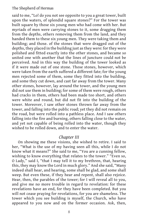said to me, "Lo! do you not see opposite to you a great tower, built upon the waters, of splendid square stones?" For the tower was built square by those six young men who had come with her. But myriads of men were carrying stones to it, some dragging them from the depths, others removing them from the land, and they handed them to these six young men. They were taking them and building; and those. of the stones that were dragged out of the depths, they placed in the building just as they were: for they were polished and fitted exactly into the other stones, and became so united one with another that the lines of juncture could not be perceived. And in this way the building of the tower looked as if it were made out of one stone. Those stones, however, which were taken from the earth suffered a different fate; for the young men rejected some of them, some they fitted into the building, and some they cut down, and cast far away from the tower. Many other stones, however, lay around the tower, and the young men did not use them in building; for some of them were rough, others had cracks in them, others had been made too short, and others were white and round, but did not fit into the building of the tower. Moreover, I saw other stones thrown far away from the tower, and falling into the public road; yet they did not remain on the road, but were rolled into a pathless place. And I saw others falling into the fire and burning, others falling close to the water, and yet not capable of being rolled into the water, though they wished to be rolled down, and to enter the water.

#### *Chapter III*

On showing me these visions, she wished to retire. I said to her, "What is the use of my having seen all this, while I do not know what it means?" She said to me, "You are a cunning fellow, wishing to know everything that relates to the tower." "Even so, O Lady," said I, "that I may tell it to my brethren, that, hearing this, they may know the Lord in much glory." And she said, "Many indeed shall hear, and hearing, some shall be glad, and some shall weep. But even these, if they hear and repent, shall also rejoice. Hear, then, the parables of the tower; for I will reveal all to you, and give me no more trouble in regard to revelation: for these revelations have an end, for they have been completed. But you will not cease praying for revelations, for you are shameless. The tower which you see building is myself, the Church, who have appeared to you now and on the former occasion. Ask, then,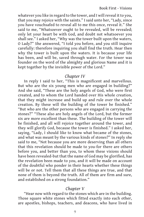whatever you like in regard to the tower, and I will reveal it to you, that you may rejoice with the saints." I said unto her, "Lady, since you have vouchsafed to reveal all to me this once, reveal it." She said to me, "Whatsoever ought to be revealed, will be revealed; only let your heart be with God, and doubt not whatsoever you shall see." I asked her, "Why was the tower built upon the waters, O Lady?" She answered, "I told you before, and you still inquire carefully: therefore inquiring you shall find the truth. Hear then why the tower is built upon the waters. It is because your life has been, and will be, saved through water. For the tower was founder on the word of the almighty and glorious Name and it is kept together by the invisible power of the Lord."

## *Chapter IV*

In reply I said to her, "This is magnificent and marvellous. But who are the six young men who are engaged in building?" And she said, "These are the holy angels of God, who were first created, and to whom the Lord handed over His whole creation, that they might increase and build up and rule over the whole creation. By these will the building of the tower be finished." "But who are the other persons who are engaged in carrying the stones?" "These also are holy angels of the Lord, but the former six are more excellent than these. The building of the tower will be finished, and all will rejoice together around the tower, and they will glorify God, because the tower is finished." I asked her, saying, "Lady, I should like to know what became of the stones, and what was meant by the various kinds of stones?" In reply she said to me, "Not because you are more deserving than all others that this revelation should be made to you-for there are others before you, and better than you, to whom these visions should have been revealed-but that the name of God may be glorified, has the revelation been made to you, and it will be made on account of the doubtful who ponder in their hearts whether these things will be or not. Tell them that all these things are true, and that none of them is beyond the truth. All of them are firm and sure, and established on a strong foundation."

## *Chapter V*

"Hear now with regard to the stones which are in the building. Those square white stones which fitted exactly into each other, are apostles, bishops, teachers, and deacons, who have lived in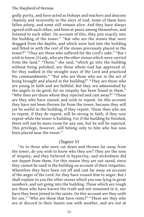godly purity, and have acted as bishops and teachers and deacons chastely and reverently to the elect of God. Some of them have fallen asleep, and some still remain alive. And they have always agreed with each other, and been at peace among themselves, and listened to each other. On account of this, they join exactly into the building of the tower." "But who are the stones that were dragged from the depths, and which were laid into the building and fitted in with the rest of the stones previously placed in the tower?" "They are those who suffered for the Lord's sake." "But I wish to know, O Lady, who are the other stones which were carried from the land." "Those," she said, "which go into the building without being polished, are those whom God has approved of, for they walked in the straight ways of the Lord and practiced His commandments." "But who are those who are in the act of being brought and placed in the building?" "They are those who are young in faith and are faithful. But they are admonished by the angels to do good, for no iniquity has been found in them." "Who then are those whom they rejected and cast away?" "These are they who have sinned, and wish to repent. On this account they have not been thrown far from the tower, because they will yet be useful in the building, if they repent. Those then who are to repent, if they do repent, will be strong in faith, if they now repent while the tower is building. For if the building be finished, there will not be more room for any one, but he will be rejected. This privilege, however, will belong only to him who has now been placed near the tower."

#### *Chapter VI*

"As to those who were cut down and thrown far away from the tower, do you wish to know who they are? They are the sons of iniquity, and they believed in hypocrisy, and wickedness did not depart from them. For this reason they are not saved, since they cannot be used in the building on account of their iniquities. Wherefore they have been cut off and cast far away on account of the anger of the Lord, for they have roused Him to anger. But I shall explain to you the other stones which you saw lying in great numbers, and not going into the building. Those which are rough are those who have known the truth and not remained in it, nor have they been joined to the saints. On this account are they unfit for use." "Who are those that have rents?" "These are they who are at discord in their hearts one with another, and are not at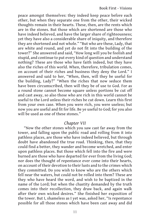peace amongst themselves: they indeed keep peace before each other, but when they separate one from the other, their wicked thoughts remain in their hearts. These, then, are the rents which are in the stones. But those which are shortened are those who have indeed believed, and have the larger share of righteousness; yet they have also a considerable share of iniquity, and therefore they are shortened and not whole." "But who are these, Lady, that are white and round, and yet do not fit into the building of the tower?" She answered and said, "How long will you be foolish and stupid, and continue to put every kind of question and understand nothing? These are those who have faith indeed, but they have also the riches of this world. When, therefore, tribulation comes, on account of their riches and business they deny the Lord." I answered and said to her, "When, then, will they be useful for the building, Lady?" "When the riches that now seduce them have been circumscribed, then will they be of use to God. For as a round stone cannot become square unless portions be cut off and cast away, so also those who are rich in this world cannot be useful to the Lord unless their riches be cut down. Learn this first from your own case. When you were rich, you were useless; but now you are useful and fit for life. Be ye useful to God; for you also will be used as one of these stones."

#### *Chapter VII*

"Now the other stones which you saw cast far away from the tower, and falling upon the public road and rolling from it into pathless places, are those who have indeed believed, but through doubt have abandoned the true road. Thinking, then, that they could find a better, they wander and become wretched, and enter upon pathless places. But those which fell into the fire and were burned are those who have departed for ever from the living God; nor does the thought of repentance ever come into their hearts, on account of their devotion to their lusts and to the crimes which they committed. Do you wish to know who are the others which fell near the waters, but could not be rolled into them? These are they who have heard the word, and wish to be baptized in the name of the Lord; but when the chastity demanded by the truth comes into their recollection, they draw back, and again walk after their own wicked desires." She finished her exposition of the tower. But I, shameless as I yet was, asked her, "Is repentance possible for all those stones which have been cast away and did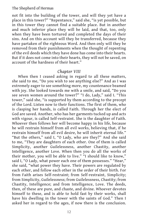not fit into the building of the tower, and will they yet have a place in this tower?" "Repentance," said she, "is yet possible, but in this tower they cannot find a suitable place. But in another and much inferior place they will be laid, and that, too, only when they have been tortured and completed the days of their sins. And on this account will they be transferred, because they have partaken of the righteous Word. And then only will they be removed from their punishments when the thought of repenting of the evil deeds which they have done has come into their hearts. But if it does not come into their hearts, they will not be saved, on account of the hardness of their heart."

## *Chapter VIII*

When then I ceased asking in regard to all these matters, she said to me, "Do you wish to see anything else?" And as I was extremely eager to see something more, my countenance beamed with joy. She looked towards me with a smile, and said, "Do you see seven women around the tower?" "I do, Lady," said I. "This tower," said she, "is supported by them according to the precept of the Lord. Listen now to their functions. The first of them, who is clasping her hands, is called Faith. Through her the elect of God are saved. Another, who has her garments tucked up and acts with vigour, is called Self-restraint. She is the daughter of Faith. Whoever then follows her will become happy in his life, because he will restrain himself from all evil works, believing that, if he restrain himself from all evil desire, he will inherit eternal life." "But the others," said I, "O Lady, who are they?" And she said to me, "They are daughters of each other. One of them is called Simplicity, another Guilelessness, another Chastity, another Intelligence, another Love. When then you do all the works of their mother, you will be able to live." "I should like to know," said I, "O Lady, what power each one of them possesses." "Hear," she said, "what power they have. Their powers are regulated by each other, and follow each other in the order of their birth. For from Faith arises Self-restraint; from Self-restraint, Simplicity; from Simplicity, Guilelessness; from Guilelessness, Chastity; from Chastity, Intelligence; and from Intelligence, Love. The deeds, then, of these are pure, and chaste, and divine. Whoever devotes himself to these, and is able to hold fast by their works, shall have his dwelling in the tower with the saints of God." Then I asked her in regard to the ages, if now there is the conclusion.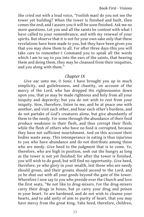She cried out with a loud voice, "Foolish man! do you not see the tower yet building? When the tower is finished and built, then comes the end; and I assure you it will be soon finished. Ask me no more questions. Let you and all the saints be content with what I have called to your remembrance, and with my renewal of your spirits. But observe that it is not for your own sake only that these revelations have been made to you, but they have been given you that you may show them to all. For after three days-this you will take care to remember-I Command you to speak all the words which I am to say to you into the ears of the saints, that hearing them and doing them, they may be cleansed from their iniquities, and you along with them."

## *Chapter IX*

Give ear unto me, O Sons: I have brought you up in much simplicity, and guilelessness, and chastity, on account of the mercy of the Lord, who has dropped His righteousness down upon you, that ye may be made righteous and holy from all your iniquity and depravity; but you do not wish to rest from your iniquity. Now, therefore, listen to me, and be at peace one with another, and visit each other, and bear each other's burdens, and do not partake of God's creatures alone, but give abundantly of them to the needy. For some through the abundance of their food produce weakness in their flesh, and thus corrupt their flesh; while the flesh of others who have no food is corrupted, because they have not sufficient nourishment. And on this account their bodies waste away. This intemperance in eating is thus injurious to you who have abundance and do not distribute among those who are needy. Give heed to the judgment that is to come. Ye, therefore, who are high in position, seek out the hungry as long as the tower is not yet finished; for after the tower is finished, you will wish to do good, but will find no opportunity. Give heed, therefore, ye who glory in your wealth, lest those who are needy should groan, and their groans should ascend to the Lord, and ye be shut out with all your goods beyond the gate of the tower. Wherefore I now say to you who preside over the Church and love the first seats, "Be not like to drug-mixers. For the drug-mixers carry their drugs in boxes, but ye carry your drug and poison m your heart. Ye are hardened, and do not wish to cleanse your hearts, and to add unity of aim to purity of heart, that you may have mercy from the great King. Take heed, therefore, children,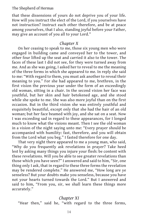that these dissensions of yours do not deprive you of your life. How will you instruct the elect of the Lord, if you yourselves have not instruction? Instruct each other therefore, and be at peace among yourselves, that I also, standing joyful before your Father, may give an account of you all to your Lord."

## *Chapter X*

On her ceasing to speak to me, those six young men who were engaged in building came and conveyed her to the tower, and other four lifted up the seat and carried it also to the tower. The faces of these last I did not see, for they were turned away from me. And as she was going, I asked her to reveal to me the meaning of the three forms in which she appeared to me. In reply she said to me: "With regard to them, you must ask another to reveal their meaning to you." For she had appeared to me, brethren, in the first vision the previous year under the form of an exceedingly old woman, sitting in a chair. In the second vision her face was youthful, but her skin and hair betokened age, and she stood while she spoke to me. She was also more joyful than on the first occasion. But in the third vision she was entirely youthful and exquisitely beautiful, except only that she had the hair of an old woman; but her face beamed with joy, and she sat on a seat. Now I was exceeding sad in regard to these appearances, for I longed much to know what the visions meant. Then I see the old woman in a vision of the night saying unto me: "Every prayer should be accompanied with humility: fast, therefore, and you will obtain from the Lord what you beg." I fasted therefore for one day.

That very night there appeared to me a young man, who said, "Why do you frequently ask revelations in prayer? Take heed lest by asking many things you injure your flesh: be content with these revelations. Will you be able to see greater revelations than those which you have seen?" I answered and said to him, "Sir, one thing only I ask, that in regard to these three forms the revelation may be rendered complete." He answered me, "How long are ye senseless? But your doubts make you senseless, because you have not your hearts turned towards the Lord." But I answered and said to him, "From you, sir, we shall learn these things more accurately."

## *Chapter XI*

"Hear then," said he, "with regard to the three forms,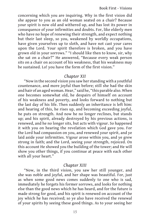concerning which you are inquiring. Why in the first vision did she appear to you as an old woman seated on a chair? Because your spirit is now old and withered up, and has lost its power in consequence of your infirmities and doubts. For, like elderly men who have no hope of renewing their strength, and expect nothing but their last sleep, so you, weakened by worldly occupations, have given yourselves up to sloth, and have not cast your cares upon the Lord. Your spirit therefore is broken, and you have grown old in your sorrows." "I should like then to know, sir, why she sat on a chair?" He answered, "Because every weak person sits on a chair on account of his weakness, that his weakness may be sustained. Lo! you have the form of the first vision."

## *Chapter XII*

"Now in the second vision you saw her standing with a youthful countenance, and more joyful than before; still she had the skin and hair of an aged woman. Hear," said he, "this parable also. When one becomes somewhat old, he despairs of himself on account of his weakness and poverty, and looks forward to nothing but the last day of his life. Then suddenly an inheritance is left him: and hearing of this, he rises up, and becoming exceeding joyful, he puts on strength. And now he no longer reclines, but stands up; and his spirit, already destroyed by his previous actions, is renewed, and he no longer sits, but acts with vigour. So happened it with you on hearing the revelation which God gave you. For the Lord had compassion on you, and renewed your spirit, and ye laid aside your infirmities. Vigour arose within you, and ye grew strong in faith; and the Lord, seeing your strength, rejoiced. On this account He showed you the building of the tower; and He will show you other things, if you continue at peace with each other with all your heart."

## *Chapter XIII*

"Now, in the third vision, you saw her still younger, and she was noble and joyful, and her shape was beautiful. For, just as when some good news comes suddenly to one who is sad, immediately he forgets his former sorrows, and looks for nothing else than the good news which he has heard, and for the future is made strong for good, and his spirit is renewed on account of the joy which he has received; so ye also have received the renewal of your spirits by seeing these good things. As to your seeing her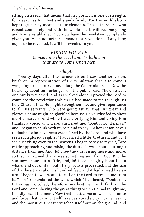sitting on a seat, that means that her position is one of strength, for a seat has four feet and stands firmly. For the world also is kept together by means of four elements. Those, therefore, who repent completely and with the whole heart, will become young and firmly established. You now have the revelation completely given you. Make no further demands for revelations. If anything ought to be revealed, it will be revealed to you."

## *VISION FOURTH Concerning the Trial and Tribulation that are to Come Upon Men*

## *Chapter I*

Twenty days after the former vision I saw another vision, brethren –a representation of the tribulation that is to come. I was going to a country house along the Campanian road. Now the house lay about ten furlongs from the public road. The district is one rarely traversed. And as I walked alone, I prayed the Lord to complete the revelations which He had made to me through His holy Church, that He might strengthen me, and give repentance to all His servants who were going astray, that His great and glorious name might be glorified because He vouchsafed to show me His marvels. And while I was glorifying Him and giving Him thanks, a voice, as it were, answered me, "Doubt not, Hermas;" and I began to think with myself, and to say, "What reason have I to doubt-I who have been established by the Lord, and who have seen such glorious sights?" I advanced a little, brethren, and, lo! I see dust rising even to the heavens. I began to say to myself, "Are cattle approaching and raising the dust?" It was about a furlong's distance from me. And, lo! I see the dust rising more and more, so that I imagined that it was something sent from God. But the sun now shone out a little, and, lo! I see a mighty beast like a whale, and out of its mouth fiery locusts proceeded. But the size of that beast was about a hundred feet, and it had a head like an urn. I began to weep, and to call on the Lord to rescue me from it. Then I remembered the word which I had heard, "Doubt not, O Hermas." Clothed, therefore, my brethren, with faith in the Lord and remembering the great things which He had taught me, I boldly faced the beast. Now that beast came on with such noise and force, that it could itself have destroyed a city. I came near it, and the monstrous beast stretched itself out on the ground, and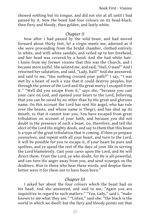showed nothing but its tongue, and did not stir at all until I had passed by it. Now the beast had four colours on its head-black, then fiery and bloody, then golden, and lastly white.

## *Chapter II*

Now after I had passed by the wild beast, and had moved forward about thirty feet, lo! a virgin meets me, adorned as if she were proceeding from the bridal chamber, clothed entirely in white, and with white sandals, and veiled up to her forehead, and her head was covered by a hood. And she had white hair. I knew from my former visions that this was the Church, and I became more joyful. She saluted me, and said, "Hail, O man!" And I returned her salutation, and said, "Lady, hail!" And she answered. and said to me, "Has nothing crossed your path?" I say, "I was met by a beast of such a size that it could destroy peoples, but through the power of the Lord and His great mercy I escaped from it." "Well did you escape from it," says she, "because you cast your care on God, and opened your heart to the Lord, believing that you can be saved by no other than by His great and glorious name. On this account the Lord has sent His angel, who has rule over the beasts, and whose name is Thegri, and has shut up its mouth, so that it cannot tear you. You have escaped from great tribulation on account of your faith, and because you did not doubt in the presence of such a beast. Go, therefore, and tell the elect of the Lord His mighty deeds, and say to them that this beast is a type of the great tribulation that is coming. If then ye prepare yourselves, and repent with all your heart, and turn to the Lord, it will be possible for you to escape it, if your heart be pure and spotless, and ye spend the rest of the days of your life in serving the Lord blamelessly. Cast your cares upon the Lord, and He will direct them. Trust the Lord, ye who doubt, for He is all-powerful, and can turn His anger away from you, and send scourges on the doubters. Woe to those who hear these words, and despise them: better were it for them not to have been born."

## *Chapter III*

I asked her about the four colours which the beast had on his head. And she answered, and said to me, "Again you are inquisitive in regard to such matters." "Yea, Lady," said I, "make known to me what they are." "Listen," said she: "the black is the world in which we dwell: but the fiery and bloody points out that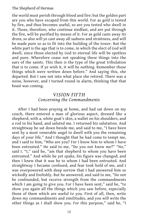the world must perish through blood and fire: but the golden part are you who have escaped from this world. For as gold is tested by fire, and thus becomes useful, so are you tested who dwell in it. Those, therefore, who continue stedfast, and are put through the fire, will be purified by means of it. For as gold casts away its dross, so also will ye cast away all sadness and straitness, and will be made pure so as to fit into the building of the tower. But the white part is the age that is to come, in which the elect of God will dwell, since those elected by God to eternal life will be spotless and pure. Wherefore cease not speaking these things into the ears of the saints. This then is the type of the great tribulation that is to come. If ye wish it, it will be nothing. Remember those things which were written down before." And saying this, she departed. But I saw not into what place she retired. There was a noise, however, and I turned round in alarm, thinking that that beast was coming.

## *VISION FIFTH Concerning the Commandments*

After I had been praying at home, and had sat down on my couch, there entered a man of glorious aspect, dressed like a shepherd, with a, white goat's skin, a wallet on his shoulders, and a rod in his hand, and saluted me. I returned his salutation. And straightway he sat down beside me, and said to me, "I have been sent by a most venerable angel to dwell with you the remaining days of your life." And I thought that he had come to tempt me, and I said to him, "Who are you? For I know him to whom I have been entrusted." He said to me, "Do you not know me?" "No," said I. "I," said he, "am that shepherd to whom you have been entrusted." And while he yet spake, his figure was changed; and then I knew that it was he to whom I had been entrusted. And straightway I became confused, and fear took hold of me, and I was overpowered with deep sorrow that I had answered him so wickedly and foolishly. But he answered, and said to me, "Do not be confounded, but receive strength from the commandments which I am going to give you. For I have been sent," said he, "to show you again all the things which you saw before, especially those of them which are useful to you. First of all, then, write down my commandments and similitudes, and you will write the other things as I shall show you. For this purpose," said he, "I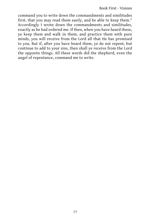command you to write down the commandments and similitudes first, that you may read them easily, and be able to keep them." Accordingly I wrote down the commandments and similitudes, exactly as he had ordered me. If then, when you have heard these, ye keep them and walk in them, and practice them with pure minds, you will receive from the Lord all that He has promised to you. But if, after you have heard them, ye do not repent, but continue to add to your sins, then shall ye receive from the Lord the opposite things. All these words did the shepherd, even the angel of repentance, command me to write.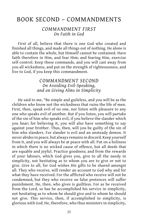## BOOK SECOND – COMMANDMENTS

## *COMMANDMENT FIRST On Faith in God*

First of all, believe that there is one God who created and finished all things, and made all things out of nothing. He alone is able to contain the whole, but Himself cannot be contained. Have faith therefore in Him, and fear Him; and fearing Him, exercise self-control. Keep these commands, and you will cast away from you all wickedness, and put on the strength of righteousness, and live to God, if you keep this commandment.

## *COMMANDMENT SECOND On Avoiding Evil-Speaking, and on Giving Alms in Simplicity*

He said to me, "Be simple and guileless, and you will be as the children who know not the wickedness that ruins the life of men. First, then, speak evil of no one, nor listen with pleasure to any one who speaks evil of another. But if you listen, you will partake of the sin of him who speaks evil, if you believe the slander which you hear; for believing it, you will also have something to say against your brother. Thus, then, will you be guilty of the sin of him who slanders. For slander is evil and an unsteady demon. It never abides in peace, but always remains in discord. Keep yourself from it, and you will always be at peace with all. Put on a holiness in which there is no wicked cause of offence, but all deeds that are equable and joyful. Practice goodness; and from the rewards of your labours, which God gives you, give to all the needy in simplicity, not hesitating as to whom you are to give or not to give. Give to all, for God wishes His gifts to be shared amongst all. They who receive, will render an account to God why and for what they have received. For the afflicted who receive will not be condemned, but they who receive on false pretences will suffer punishment. He, then, who gives is guiltless. For as he received from the Lord, so has he accomplished his service in simplicity, not hesitating as to whom he should give and to whom he should not give. This service, then, if accomplished in simplicity, is glorious with God. He, therefore, who thus ministers in simplicity,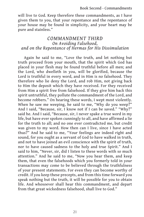Book Second - Commandments

will live to God. Keep therefore these commandments, as I have given them to you, that your repentance and the repentance of your house may be found in simplicity, and your heart may be pure and stainless."

## *COMMANDMENT THIRD On Avoiding Falsehood, and on the Repentance of Hermas for His Dissimulation*

Again he said to me, "Love the truth, and let nothing but truth proceed from your mouth, that the spirit which God has placed in your flesh may be found truthful before all men; and the Lord, who dwelleth in you, will be glorified, because the Lord is truthful in every word, and in Him is no falsehood. They therefore who lie deny the Lord, and rob Him, not giving back to Him the deposit which they have received. For they received from Him a spirit free from falsehood. If they give him back this spirit untruthful, they pollute the commandment of the Lord, and become robbers." On hearing these words, I wept most violently. When he saw me weeping, he said to me, "Why do you weep?" And I said, "Because, sir, I know not if I can be saved." "Why?" said he. And I said, "Because, sir, I never spake a true word in my life, but have ever spoken cunningly to all, and have affirmed a lie for the truth to all; and no one ever contradicted me, but credit was given to my word. How then can I live, since I have acted thus?" And he said to me, "Your feelings are indeed right and sound, for you ought as a servant of God to have walked in truth, and not to have joined an evil conscience with the spirit of truth, nor to have caused sadness to the holy and true Spirit." And I said to him, "Never, sir, did I listen to these words with so much attention." And he said to me, "Now you hear them, and keep them, that even the falsehoods which you formerly told in your transactions may come to be believed through the truthfulness of your present statements. For even they can become worthy of credit. If you keep these precepts, and from this time forward you speak nothing but the truth, it will be possible for you to obtain life. And whosoever shall hear this commandment, and depart from that great wickedness falsehood, shall live to God."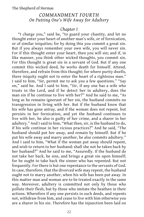## *COMMANDMENT FOURTH On Putting One's Wife Away for Adultery*

## *Chapter I*

"I charge you," said he, "to guard your chastity, and let no thought enter your heart of another man's wife, or of fornication, or of similar iniquities; for by doing this you commit a great sin. But if you always remember your own wife, you will never sin. For if this thought enter your heart, then you will sin; and if, in like manner, you think other wicked thoughts, you commit sin. For this thought is great sin in a servant of God. But if any one commit this wicked deed, he works death for himself. Attend, therefore, and refrain from this thought; for where purity dwells, there iniquity ought not to enter the heart of a righteous man." I said to him, "Sir, permit me to ask you a few questions." "Say on," said he. And I said to him, "Sir, if any one has a wife who trusts in the Lord, and if he detect her in adultery, does the man sin if he continue to live with her?" And he said to me, "As long as he remains ignorant of her sin, the husband commits no transgression in living with her. But if the husband know that his wife has gone astray, and if the woman does not repent, but persists in her fornication, and yet the husband continues to live with her, he also is guilty of her crime, and a sharer in her adultery." And I said to him, "What then, sir, is the husband to do, if his wife continue in her vicious practices?" And he said, "The husband should put her away, and remain by himself. But if he put his wife away and marry another, he also commits adultery." And I said to him, "What if the woman put away should repent, and wish to return to her husband: shall she not be taken back by her husband?" And he said to me, "Assuredly. If the husband do not take her back, he sins, and brings a great sin upon himself; for he ought to take back the sinner who has repented. But not frequently. For there is but one repentance to the servants of God. In case, therefore, that the divorced wife may repent, the husband ought not to marry another, when his wife has been put away. In this matter man and woman are to be treated exactly in the same way. Moreover, adultery is committed not only by those who pollute their flesh, but by those who imitate the heathen in their actions. Wherefore if any one persists in such deeds, and repents not, withdraw from him, and cease to live with him otherwise you are a sharer in his sin. Therefore has the injunction been laid on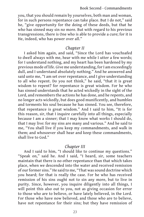#### Book Second - Commandments

you, that you should remain by yourselves, both man and woman, for in such persons repentance can take place. But I do not," said he, "give opportunity for the doing of these deeds, but that he who has sinned may sin no more. But with regard to his previous transgressions, there is One who is able to provide a cure; for it is He, indeed, who has power over all."

#### *Chapter II*

I asked him again, and said, "Since the Lord has vouchsafed to dwell always with me, hear with me while I utter a few words; for I understand nothing, and my heart has been hardened by my previous mode of life. Give me understanding, for I am exceedingly dull, and I understand absolutely nothing." And he answered and said unto me, "I am set over repentance, and I give understanding to all who repent. Do you not think," he said, "that it is great wisdom to repent? for repentance is great wisdom. For he who has sinned understands that he acted wickedly in the sight of the Lord, and remembers the actions he has done, and he repents, and no longer acts wickedly, but does good munificently, and humbles and torments his soul because he has sinned. You see, therefore, that repentance is great wisdom." And I said to him, "It is for this reason, sir, that I inquire carefully into all things, especially because I am a sinner; that I may know what works I should do, that I may live: for my sins are many and various." And he said to me, "You shall live if you keep my commandments, and walk in them; and whosoever shall hear and keep these commandments, shall live to God."

#### *Chapter III*

And I said to him, "I should like to continue my questions." "Speak on," said he. And I said, "I heard, sir, some teachers maintain that there is no other repentance than that which takes place, when we descended into the water and received remission of our former sins." He said to me, "That was sound doctrine which you heard; for that is really the case. For he who has received remission of his sins ought not to sin any more, but to live in purity. Since, however, you inquire diligently into all things, I will point this also out to you, not as giving occasion for error to those who are to believe, or have lately believed, in the Lord. For those who have now believed, and those who are to believe, have not repentance for their sins; but they have remission of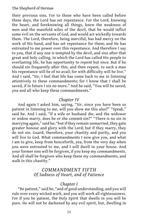their previous sins. For to those who have been called before these days, the Lord has set repentance. For the Lord, knowing the heart, and foreknowing all things, knew the weakness of men and the manifold wiles of the devil, that he would inflict some evil on the servants of God, and would act wickedly towards them. The Lord, therefore, being merciful, has had mercy on the work of His hand, and has set repentance for them; and He has entrusted to me power over this repentance. And therefore I say to you, that if any one is tempted by the devil, and sins after that great and holy calling. in which the Lord has called His people to everlasting life, he has opportunity to repent but once. But if he should sin frequently after this, and then repent, to such a man his repentance will be of no avail; for with difficulty will he live." And I said, "Sir, I feel that life has come back to me in listening attentively to these commandments; for I know that I shall be saved, if in future I sin no more." And he said, "You will be saved, you and all who keep these commandments."

#### *Chapter IV*

And again I asked him, saying, "Sir, since you have been so patient in listening to me, will you show me this also?" "Speak," said he. And I said, "If a wife or husband die, and the widower or widow marry, does he or she commit sin?" "There is no sin in marrying again," said he; "but if they remain unmarried, they gain greater honour and glory with the Lord; but if they marry, they do not sin. Guard, therefore, your chastity and purity, and you will live to God. What commandments I now give you, and what I am to give, keep from henceforth, yea, from the very day when you were entrusted to me, and I will dwell in your house. And your former sins will be forgiven, if you keep my commandments. And all shall be forgiven who keep these my commandments, and walk in this chastity."

## *COMMANDMENT FIFTH Of Sadness of Heart, and of Patience*

## *Chapter I*

"Be patient," said he, "and of good understanding, and you will rule over every wicked work, and you will work all righteousness. For if you be patient, the Holy Spirit that dwells in you will be pure. He will not be darkened by any evil spirit, but, dwelling in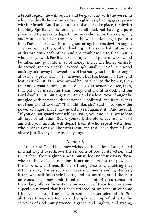a broad region, he will rejoice and be glad; and with the vessel in which he dwells he will serve God in gladness, having great peace within himself. But if any outburst of anger take place, forthwith the Holy Spirit, who is tender, is straitened, not having a pure place, and He seeks to depart. For he is choked by the vile spirit, and cannot attend on the Lord as he wishes, for anger pollutes him. For the Lord dwells in long-suffering, but the devil in anger. The two spirits, then, when dwelling in the same habitation, are at discord with each other, and are troublesome to that man in whom they dwell. For if an exceedingly small piece of wormwood be taken and put into a jar of honey, is not the honey entirely destroyed, and does not the exceedingly small piece of wormwood entirely take away the sweetness of the honey, so that it no longer affords any gratification to its owner, but has become bitter, and lost its use? But if the wormwood be not put into the honey, then the honey remains sweet, and is of use to its owner. You see, then, that patience is sweeter than honey, and useful to God, and the Lord dwells in it. But anger is bitter and useless. Now, if anger be mingled with patience, the patience is polluted, and its prayer is not then useful to God." "I should like, sir," said I, "to know the power of anger, that I may guard myself against it." And he said, "If you do not guard yourself against it, you and your house lose all hope of salvation. Guard yourself, therefore, against it. For I am with you, and all will depart from it who repent with their whole heart. For I will be with them, and I will save them all. For all are justified by the most holy angel."

## *Chapter II*

"Hear now," said he, "how wicked is the action of anger, and in what way it overthrows the servants of God by its action, and turns them from righteousness. But it does not turn away those who are full of faith, nor does it act on them, for the power of the Lord is with them. It is the thoughtless and doubting that it turns away. For as soon as it sees such men standing stedfast, it throws itself into their hearts, and for nothing at all the man or woman becomes embittered on account of occurrences in their daily life, as for instance on account of their food, or some superfluous word that has been uttered, or on account of some friend, or some gift or debt, or some such senseless affair. For all these things are foolish and empty and unprofitable to the servants of God. But patience is great, and mighty, and strong,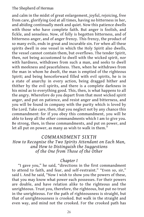and calm in the midst of great enlargement, joyful, rejoicing, free from care, glorifying God at all times, having no bitterness in her, and abiding continually meek and quiet. Now this patience dwells with those who have complete faith. But anger is foolish, and fickle, and senseless. Now, of folly is begotten bitterness, and of bitterness anger, and of anger frenzy. This frenzy, the product of so many evils, ends in great and incurable sin. For when all these spirits dwell in one vessel in which the Holy Spirit also dwells, the vessel cannot contain them, but overflows. The tender Spirit, then, not being accustomed to dwell with the wicked spirit, nor with hardness, withdraws from such a man, and seeks to dwell with meekness and peacefulness. Then, when he withdraws from the man in whom he dwelt, the man is emptied of the righteous Spirit; and being henceforward filled with evil spirits, he is in a state of anarchy in every action, being dragged hither and thither by the evil spirits, and there is a complete darkness in his mind as to everything good. This, then, is what happens to all the angry. Wherefore do you depart from that most wicked spirit anger, and put on patience, and resist anger and bitterness, and you will be found in company with the purity which is loved by the Lord. Take care, then, that you neglect not by any chance this commandment: for if you obey this commandment, you will be able to keep all the other commandments which I am to give you. Be strong, then, in these commandments, and put on power, and let all put on power, as many as wish to walk in them."

## *COMMANDMENT SIXTH*

*How to Recognise the Two Spirits Attendant on Each Man, and How to Distinguish the Suggestions of the One from Those of the Other*

#### *Chapter I*

"I gave you," he said, "directions in the first commandment to attend to faith, and fear, and self-restraint." "Even so, sir," said I. And he said, "Now I wish to show you the powers of these, that you may know what power each possesses. For their powers are double, and have relation alike to the righteous and the unrighteous. Trust you, therefore, the righteous, but put no trust in the unrighteous. For the path of righteousness is straight, but that of unrighteousness is crooked. But walk in the straight and even way, and mind not the crooked. For the crooked path has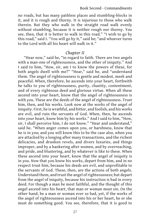#### Book Second - Commandments

no roads, but has many pathless places and stumbling-blocks in it, and it is rough and thorny. It is injurious to those who walk therein. But they who walk in the straight road walk evenly without stumbling, because it is neither rough nor thorny. You see, then, that it is better to walk in this road." "I wish to go by this road," said I. "You will go by it," said he; "and whoever turns to the Lord with all his heart will walk in it."

#### *Chapter II*

"Hear now," said he, "in regard to faith. There are two angels with a man-one of righteousness, and the other of iniquity." And I said to him, "How, sir, am I to know the powers of these, for both angels dwell with me?" "Hear," said he, and "understand them. The angel of righteousness is gentle and modest, meek and peaceful. When, therefore, he ascends into your heart, forthwith he talks to you of righteousness, purity, chastity, contentment, and of every righteous deed and glorious virtue. When all these ascend into your heart, know that the angel of righteousness is with you. These are the deeds of the angel of righteousness. Trust him, then, and his works. Look now at the works of the angel of iniquity. First, he is wrathful, and bitter, and foolish, and his works are evil, and ruin the servants of God. When, then, he ascends into your heart, know him by his works." And I said to him, "How, sir, I shall perceive him, I do not know." "Hear and understand," said he. "When anger comes upon you, or harshness, know that he is in you; and you will know this to be the case also, when you are attacked by a longing after many transactions, and the richest delicacies, and drunken revels, and divers luxuries, and things improper, and by a hankering after women, and by overreaching, and pride, and blustering, and by whatever is like to these. When these ascend into your heart, know that the angel of iniquity is in you. Now that you know his works, depart from him, and in no respect trust him, because his deeds are evil, and unprofitable to the servants of God. These, then, are the actions of both angels. Understand them, and trust the angel of righteousness; but depart from the angel of iniquity, because his instruction is bad in every deed. For though a man be most faithful, and the thought of this angel ascend into his heart, that man or woman must sin. On the other hand, be a man or woman ever so bad, yet, if the works of the angel of righteousness ascend into his or her heart, he or she must do something good. You see, therefore, that it is good to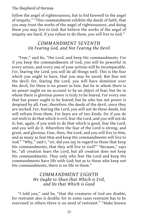follow the angel of righteousness, but to bid farewell to the angel of iniquity." "This commandment exhibits the deeds of faith, that you may trust the works of the angel of righteousness, and doing them you may live to God. But believe the works of the angel of iniquity are hard. If you refuse to do them, you will live to God."

## *COMMANDMENT SEVENTH On Fearing God, and Not Fearing the Devil*

"Fear," said he, "the Lord, and keep His commandments. For if you keep the commandments of God, you will be powerful in every action, and every one of your actions will be incomparable. For, fearing the Lord, you will do all things well. This is the fear which you ought to have, that you may be saved. But fear not the devil; for, fearing the Lord, you will have dominion over the devil, for there is no power in him. But he in whom there is no power ought on no account to be an object of fear; but He in whom there is glorious power is truly to be feared. For every one that has power ought to be feared; but he who has not power is despised by all. Fear, therefore, the deeds of the devil, since they are wicked. For, fearing the Lord, you will not do these deeds, but will refrain from them. For fears are of two kinds: for if you do not wish to do that which is evil, fear the Lord, and you will not do it; but, again, if you wish to do that which is good, fear the Lord, and you will do it. Wherefore the fear of the Lord is strong, and great, and glorious. Fear, then, the Lord, and you will live to Him, and as many as fear Him and keep His commandments will live to God." "Why," said I, "sir, did you say in regard to those that keep His commandments, that they will live to God?" "Because," says he, "all creation fears the Lord, but all creation does not keep His commandments. They only who fear the Lord and keep His commandments have life with God; but as to those who keep not His commandments, there is no life in them."

## *COMMANDMENT EIGHTH We Ought to Shun that Which is Evil, and Do that Which is Good*

"I told you," said he, "that the creatures of God are double, for restraint also is double; for in some cases restraint has to be exercised in others there is no need of restraint." "Make known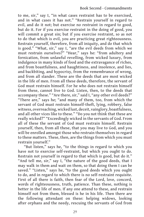to me, sir," say I, "in what cases restraint has to be exercised, and in what cases it has not." "Restrain yourself in regard to evil, and do it not; but exercise no restraint in regard to good, but do it. For if you exercise restraint in the doing of good, you will commit a great sin; but if you exercise restraint, so as not to do that which is evil, you are practicing great righteousness. Restrain yourself, therefore, from all iniquity, and do that which is good." "What, sir," say I, "are the evil deeds from which we must restrain ourselves?" "Hear," says he: "from adultery and fornication, from unlawful revelling, from wicked luxury, from indulgence in many kinds of food and the extravagance of riches, and from boastfulness, and haughtiness, and insolence, and lies, and backbiting, and hypocrisy, from the remembrance of wrong, and from all slander. These are the deeds that are most wicked in the life of men. From all these deeds, therefore, the servant of God must restrain himself. For he who does not restrain himself from these, cannot live to God. Listen, then, to the deeds that accompany these." "Are there, sir," said I, "any other evil deeds?" "There are," says he; "and many of them, too, from which the servant of God must restrain himself-theft, lying, robbery, false witness, overreaching, wicked lust, deceit, vainglory, boastfulness, and all other vices like to these." "Do you not think that these are really wicked?" "Exceedingly wicked in the servants of God. From all of these the servant of God must restrain himself. Restrain yourself, then, from all these, that you may live to God, and you will be enrolled amongst those who restrain themselves in regard to these matters. These, then, are the things from which you must restrain yourself."

"But listen," says he, "to the things in regard to which you have not to exercise self-restraint, but which you ought to do. Restrain not yourself in regard to that which is good, but do it." "And tell me, sir," say I, "the nature of the good deeds, that I may walk in them and wait on them, so that doing them I can be saved." "Listen," says he, "to the good deeds which you ought to do, and in regard to which there is no self-restraint requisite. First of all there is faith, then fear of the Lord, love, concord, words of righteousness, truth, patience. Than these, nothing is better in the life of men. If any one attend to these, and restrain himself not from them, blessed is he in his life. Then there are the following attendant on these: helping widows, looking after orphans and the needy, rescuing the servants of God from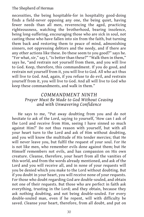necessities, the being hospitable-for in hospitality good-doing finds a field-never opposing any one, the being quiet, having fewer needs than all men, reverencing the aged, practicing righteousness, watching the brotherhood, bearing insolence, being long-suffering, encouraging those who are sick in soul, not casting those who have fallen into sin from the faith, but turning them back and restoring them to peace of mind, admonishing sinners, not oppressing debtors and the needy, and if there are any other actions like these. Do these seem to you good?" says he. "For what, sir," say I, "is better than these?" "Walk then in them," says he, "and restrain not yourself from them, and you will live to God. Keep, therefore, this commandment. If you do good, and restrain not yourself from it, you will live to God. All who act thus will live to God. And, again, if you refuse to do evil, and restrain yourself from it, you will live to God. And all will live to God who keep these commandments, and walk in them."

## *COMMANDMENT NINTH Prayer Must Be Made to God Without Ceasing and with Unwavering Confidence*

He says to me, "Put away doubting from you and do not hesitate to ask of the Lord, saying to yourself, 'How can I ask of the Lord and receive from Him, seeing I have sinned so much against Him?' Do not thus reason with yourself, but with all your heart turn to the Lord and ask of Him without doubting, and you will know the multitude of His tender mercies; that He will never leave you, but fulfil the request of your soul. For He is not like men, who remember evils done against them; but He Himself remembers not evils, and has compassion on His own creature. Cleanse, therefore, your heart from all the vanities of this world, and from the words already mentioned, and ask of the Lord and you will receive all, and in none of your requests will you be denied which you make to the Lord without doubting. But if you doubt in your heart, you will receive none of your requests. For those who doubt regarding God are double-souled, and obtain not one of their requests. But those who are perfect in faith ask everything, trusting in the Lord; and they obtain, because they ask nothing doubting, and not being double-souled. For every double-souled man, even if he repent, will with difficulty be saved. Cleanse your heart, therefore, from all doubt, and put on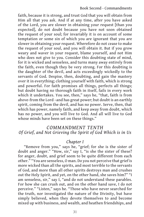faith, because it is strong, and trust God that you will obtain from Him all that you ask. And if at any time, after you have asked of the Lord, you are slower in obtaining your request [than you expected], do not doubt because you have not soon obtained the request of your soul; for invariably it is on account of some temptation or some sin of which you are ignorant that you are slower in obtaining your request. Wherefore do not cease to make the request of your soul, and you will obtain it. But if you grow weary and waver in your request, blame yourself, and not Him who does not give to you. Consider this doubting state of mind, for it is wicked and senseless, and turns many away entirely from the faith, even though they be very strong. For this doubting is the daughter of the devil, and acts exceedingly wickedly to the servants of God. Despise, then, doubting, and gain the mastery over it in everything; clothing yourself with faith, which is strong and powerful. For faith promises all things, perfects all things; but doubt having no thorough faith in itself, fails in every work which it undertakes. You see, then," says he, "that, faith is from above-from the Lord –and has great power; but doubt is an earthly spirit, coming from the devil, and has no power. Serve, then, that which has power, namely faith, and keep away from doubt, which has no power, and you will live to God. And all will live to God whose minds have been set on these things."

## *COMMANDMENT TENTH Of Grief, and Not Grieving the Spirit of God Which is in Us*

## *Chapter I*

"Remove from you," says he, "grief; for she is the sister of doubt and anger." "How, sir," say I, "is she the sister of these? for anger, doubt, and grief seem to be quite different from each other." "You are senseless, O man. Do you not perceive that grief is more wicked than all the spirits, and most terrible to the servants of God, and more than all other spirits destroys man and crushes out the Holy Spirit, and yet, on the other hand, she saves him?" "I am senseless, sir," say I, "and do not understand these parables. For how she can crush out, and on the other hand save, I do not perceive." "Listen," says he. "Those who have never searched for the truth, nor investigated the nature of the Divinity, but have simply believed, when they devote themselves to and become mixed up with business, and wealth, and heathen friendships, and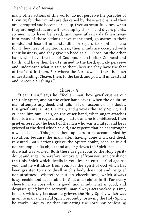many other actions of this world, do not perceive the parables of Divinity; for their minds are darkened by these actions, and they are corrupted and become dried up. Even as beautiful vines, when they are neglected, are withered up by thorns and divers plants, so men who have believed, and have afterwards fallen away into many of those actions above mentioned, go astray in their minds, and lose all understanding in regard to righteousness; for if they hear of righteousness, their minds are occupied with their business, and they give no heed at all. Those, on the other hand, who have the fear of God, and search after Godhead and truth, and have their hearts turned to the Lord, quickly perceive and understand what is said to them, because they have the fear of the Lord in them. For where the Lord dwells, there is much understanding. Cleave, then, to the Lord, and you will understand and perceive all things."

#### *Chapter II*

"Hear, then," says he, "foolish man, how grief crushes out the Holy Spirit, and on the other hand saves. When the doubting man attempts any deed, and fails in it on account of his doubt, this grief enters into the man, and grieves the Holy Spirit, and crushes him out. Then, on the other hand, when anger attaches itself to a man in regard to any matter, and he is embittered, then grief enters into the heart of the man who was irritated, and he is grieved at the deed which he did, and repents that he has wrought a wicked deed. This grief, then, appears to be accompanied by salvation, because the man, after having done a wicked deed, repented. Both actions grieve the Spirit: doubt, because it did not accomplish its object; and anger grieves the Spirit, because it did what was wicked. Both these are grievous to the Holy Spiritdoubt and anger. Wherefore remove grief from you, and crush not the Holy Spirit which dwells in you, lest he entreat God against you, and he withdraw from you. For the Spirit of God which has been granted to us to dwell in this body does not endure grief nor straitness. Wherefore put on cheerfulness, which always is agreeable and acceptable to God, and rejoice in it. For every cheerful man does what is good, and minds what is good, and despises grief; but the sorrowful man always acts wickedly. First, he acts wickedly because he grieves the Holy Spirit, which was given to man a cheerful Spirit. Secondly, Grieving the Holy Spirit, he works iniquity, neither entreating the Lord nor confessing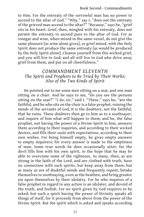to Him. For the entreaty of the sorrowful man has no power to ascend to the altar of God." "Why," say I, "does not the entreaty of the grieved man ascend to the altar?" "Because," says he, "grief sits in his heart. Grief, then, mingled with his entreaty, does not permit the entreaty to ascend pure to the altar of God. For as vinegar and wine, when mixed in the same vessel, do not give the same pleasure [as wine alone gives], so grief mixed. with the Holy Spirit does not produce the same entreaty [as would be produced by the Holy Spirit alone]. Cleanse yourself from this wicked grief, and you will live to God; and all will live to God who drive away grief from them, and put on all cheerfulness."

# *COMMANDMENT ELEVENTH The Spirit and Prophets to Be Tried by Their Works; Also of the Two Kinds of Spirit*

He pointed out to me some men sitting on a seat, and one man sitting on a chair. And he says to me, "Do you see the persons sitting on the seat?" "I do, sir," said I. "These," says he, "are the faithful, and he who sits on the chair is a false prophet, ruining the minds of the servants of God. It is the doubters, not the faithful, that he ruins. These doubters then go to him as to a soothsayer, and inquire of him what will happen to them; and he, the false prophet, not having the power of a Divine Spirit in him, answers them according to their inquiries, and according to their wicked desires, and fills their souls with expectations, according to their own wishes. For being himself empty, he gives empty answers to empty inquirers; for every answer is made to the emptiness of man. Some true words he does occasionally utter; for the devil fills him with his own spirit, in the hope that he may be able to overcome some of the righteous. As many, then, as are strong in the faith of the Lord, and are clothed with truth, have no connection with such spirits, but keep away from them; but as many as are of doubtful minds and frequently repent, betake themselves to soothsaying, even as the heathen, and bring greater sin upon themselves by their idolatry. For he who inquires of a false prophet in regard to any action is an idolater, and devoid of the truth, and foolish. For no spirit given by God requires to be asked; but such a spirit having the power of Divinity speaks all things of itself, for it proceeds from above from the power of the Divine Spirit. But the spirit which is asked and speaks according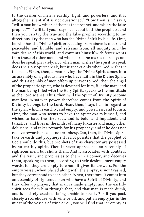to the desires of men is earthly, light, and powerless, and it is altogether silent if it is not questioned." "How then, sir," say I, "will a man know which of them is the prophet, and which the false prophet?" "I will tell you," says he, "about both the prophets, and then you can try the true and the false prophet according to my directions. Try the man who has the Divine Spirit by his life. First, he who has the Divine Spirit proceeding from above is meek, and peaceable, and humble, and refrains from, all iniquity and the vain desire of this world, and contents himself with fewer wants than those of other men, and when asked he makes no reply; nor does he speak privately, nor when man wishes the spirit to speak does the Holy Spirit speak, but it speaks only when God wishes it to speak. When, then, a man having the Divine Spirit comes into an assembly of righteous men who have faith in the Divine Spirit, and this assembly of men offers up prayer to God, then the angel of the prophetic Spirit, who is destined for him, fills the man; and the man being filled with the Holy Spirit, speaks to the multitude as the Lord wishes. Thus, then, will the Spirit of Divinity become manifest. Whatever power therefore comes from the Spirit of Divinity belongs to the Lord. Hear, then," says he, "in regard to the spirit which is earthly, and empty, and powerless, and foolish. First, the man who seems to have the Spirit exalts himself, and wishes to have the first seat, and is bold, and impudent, and talkative, and lives in the midst of many luxuries and many other delusions, and takes rewards for his prophecy; and if he does not receive rewards, he does not prophesy. Can, then, the Divine Spirit take rewards and prophesy? It is not possible that the prophet of God should do this, but prophets of this character are possessed by an earthly spirit. Then it never approaches an assembly of righteous men, but shuns them. And it associates with doubters and the vain, and prophesies to them in a comer, and deceives them, speaking to them, according to their desires, mere empty words: for they are empty to whom it gives its answers. For the empty vessel, when placed along with the empty, is not Crashed, but they correspond to each other. When, therefore, it comes into an assembly of righteous men who have a Spirit of Divinity, and they offer up prayer, that man is made empty, and the earthly spirit tees from him through fear, and that man is made dumb, and is entirely crashed, being unable to speak. For if you pack closely a storehouse with wine or oil, and put an empty jar in the midst of the vessels of wine or oil, you will find that jar empty as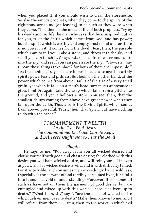when you placed it, if you should wish to clear the storehouse. So also the empty prophets, when they come to the spirits of the righteous, are found [on leaving] to be such as they were when they came. This, then, is the mode of life of both prophets. Try by his deeds and his life the man who says that he is inspired. But as for you, trust the Spirit which comes from God, and has power; but the spirit which is earthly and empty trust not at all, for there is no power in it: it comes from the devil. Hear, then, the parable which I am to tell you. Take a stone, and throw it to the sky, and see if you can touch it. Or again,take a squirt of water and squirt into the sky, and see if you can penetrate the sky." "How, sir," say I, "can these things take place? for both of them are impossible." "As these things," says he, "are impossible, so also are the earthly spirits powerless and pithless. But look, on the other hand, at the power which comes from above. Hail is of the size of a very small grain, yet when it falls on a man's head how much annoyance it gives him! Or, again, take the drop which falls from a pitcher to the ground, and yet it hollows a stone. You see, then, that the smallest things coming from above have great power when they fall upon the earth. Thus also is the Divine Spirit, which comes from above, powerful. Trust, then, that Spirit, but have nothing to do with the other."

# *COMMANDMENT TWELFTH On the Two Fold Desire The Commandments of God Can Be Kept, and Believers Ought Not to Fear the Devil*

# *Chapter I*

He says to me, "Put away from you all wicked desire, and clothe yourself with good and chaste desire; for clothed with this desire you will hate wicked desire, and will rein yourself in even as you wish. For wicked desire is wild, and is with difficulty tamed. For it is terrible, and consumes men exceedingly by its wildness. Especially is the servant of God terribly consumed by it, if he falls into it and is devoid of understanding. Moreover, it consumes all such as have not on them the garment of good desire, but are entangled and mixed up with this world. These it delivers up to death." "What then, sir," say I, "are the deeds of wicked desire which deliver men over to death? Make them known to me, and I will refrain from them." "Listen, then, to the works in which evil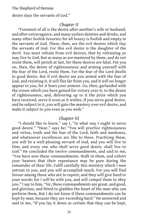desire slays the servants of God."

# *Chapter II*

"Foremost of all is the desire after another's wife or husband, and after extravagance, and many useless dainties and drinks, and many other foolish luxuries; for all luxury is foolish and empty in the servants of God. These, then, are the evil desires which slay the servants of God. For this evil desire is the daughter of the devil. You must refrain from evil desires, that by refraining ye may live to God. But as many as are mastered by them, and do not resist them, will perish at last, for these desires are fatal. Put you on, then, the desire of righteousness; and arming yourself with the fear of the Lord, resist them. For the fear of the Lord dwells in good desire. But if evil desire see you armed with the fear of God, and resisting it, it will flee far from you, and it will no longer appear to you, for it fears your armour. Go, then, garlanded with the crown which you have gained for victory over it, to the desire of righteousness, and, delivering up to it the prize which you have received, serve it even as it wishes. If you serve good desire, and be subject to it, you will gain the mastery over evil desire, and make it subject to you even as you wish."

## *Chapter III*

"I should like to know," say I, "in what way I ought to serve good desire." "Hear," says he: "You will practice righteousness and virtue, truth and the fear of the Lord, faith and meekness, and whatsoever excellences are like to these. Practicing these, you will be a well-pleasing servant of God, and you will live to Him; and every one who shall serve good desire, shall live to God." He concluded the twelve commandments, and said to me, "You have now these commandments. Walk in them, and exhort your hearers that their repentance may be pure during the remainder of their life. Fulfil carefully this ministry which I now entrust to you, and you will accomplish much. For you will find favour among those who are to repent, and they will give heed to your words; for I will be with you, and will compel them to obey you." I say to him, "Sir, these commandments are great, and good, and glorious, and fitted to gladden the heart of the man who can perform them. But I do not know if these commandments can be kept by man, because they are exceeding hard." He answered and said to me, "If you lay it down as certain that they can be kept,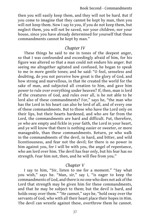#### Book Second - Commandments

then you will easily keep them, and they will not be hard. But if you come to imagine that they cannot be kept by man, then you will not keep them. Now I say to you, If you do not keep them, but neglect them, you will not be saved, nor your children, nor your house, since you have already determined for yourself that these commandments cannot be kept by man."

### *Chapter IV*

These things he said to me in tones of the deepest anger, so that I was confounded and exceedingly afraid of him, for his figure was altered so that a man could not endure his anger. But seeing me altogether agitated and confused, he began to speak to me in more gentle tones; and he said: "O fool, senseless and doubting, do you not perceive how great is the glory of God, and how strong and marvellous, in that He created the world for the sake of man, and subjected all creation to him, and gave him power to rule over everything under heaven? If, then, man is lord of the creatures of God, and rules over all, is he not able to be lord also of these commandments? For," says he, "the man who has the Lord in his heart can also be lord of all, and of every one of these commandments. But to those who have the Lord only on their lips, but their hearts hardened, and who are far from the Lord, the commandments are hard and difficult. Put, therefore, ye who are empty and fickle in your faith, the Lord in your heart, and ye will know that there is nothing easier or sweeter, or more manageable, than these commandments. Return, ye who walk in the commandments of the devil, in hard, and bitter, and wild licentiousness, and fear not the devil; for there is no power in him against you, for I will be with you, the angel of repentance, who am lord over him. The devil has fear only, but his fear has no strength. Fear him not, then, and he will flee from you."

# *Chapter V*

I say to him, "Sir, listen to me for a moment." "Say what you wish," says he. "Man, sir," say I, "is eager to keep the commandments of God, and there is no one who does not ask of the Lord that strength may be given him for these commandments, and that he may be subject to them; but the devil is hard, and holds sway over them." "He cannot," says he, "hold sway over the servants of God, who with all their heart place their hopes in Him. The devil can wrestle against these, overthrow them he cannot.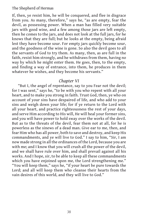If, then, ye resist him, he will be conquered, and flee in disgrace from you. As many, therefore," says he, "as are empty, fear the devil, as possessing power. When a man has filled very suitable jars with good wine, and a few among those jars are left empty, then he comes to the jars, and does not look at the full jars, for he knows that they are full; but he looks at the empty, being afraid lest they have become sour. For empty jars quickly become sour, and the goodness of the wine is gone. So also the devil goes to all the servants of God to try them. As many, then, as are full in the faith, resist him strongly, and he withdraws from them, having no way by which he might enter them. He goes, then, to the empty, and finding a way of entrance, into them, he produces in them whatever he wishes, and they become his servants."

# *Chapter VI*

"But I, the angel of repentance, say to you Fear not the devil; for I was sent," says he, "to be with you who repent with all your heart, and to make you strong in faith. Trust God, then, ye who on account of your sins have despaired of life, and who add to your sins and weigh down your life; for if ye return to the Lord with all your heart, and practice righteousness the rest of your days, and serve Him according to His will, He will heal your former sins, and you will have power to hold sway over the works of the devil. But as to the threats of the devil, fear them not at all, for he is powerless as the sinews of a dead man. Give ear to me, then, and fear Him who has all power, both to save and destroy, and keep His commandments, and ye will live to God." I say to him, "Sir, I am now made strong in all the ordinances of the Lord, because you are with me; and I know that you will crush all the power of the devil, and we shall have rule over him, and shall prevail against all his works. And I hope, sir, to be able to keep all these commandments which you have enjoined upon me, the Lord strengthening me." "You will keep them," says he, "if your heart be pure towards the Lord; and all will keep them who cleanse their hearts from the vain desires of this world, and they will live to God."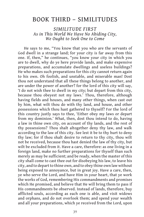# BOOK THIRD – SIMILITUDES

*SIMILITUDE FIRST As in This World We Have No Abiding City, We Ought to Seek One to Come*

He says to me, "You know that you who are the servants of God dwell in a strange land; for your city is far away from this one. If, then," he continues, "you know your city in which you are to dwell, why do ye here provide lands, and make expensive preparations, and accumulate dwellings and useless buildings? He who makes such preparations for this city cannot return again to his own. Oh foolish, and unstable, and miserable man! Dost thou not understand that all these things belong to another, and are under the power of another? for the lord of this city will say, 'I do not wish thee to dwell in my city; but depart from this city, because thou obeyest not my laws.' Thou, therefore, although having fields and houses, and many other things, when cast out by him, what wilt thou do with thy land, and house, and other possessions which thou hast gathered to thyself? For the lord of this country justly says to thee, 'Either obey my laws or depart from my dominion.' What, then, dost thou intend to do, having a law in thine own city, on account of thy lands, and the rest of thy possessions? Thou shalt altogether deny thy law, and walk according to the law of this city. See lest it be to thy hurt to deny thy law; for if thou shalt desire to return to thy city, thou wilt not be received, because thou hast denied the law of thy city, but wilt be excluded from it. Have a care, therefore: as one living in a foreign land, make no further preparations for thyself than such merely as may be sufficient; and be ready, when the master of this city shall come to cast thee out for disobeying his law, to leave his city, and to depart to thine own, and to obey thine own law without being exposed to annoyance, but in great joy. Have a care, then, ye who serve the Lord, and have Him in your heart, that ye work the works of God, remembering His commandments and promises which He promised, and believe that He will bring them to pass if His commandments be observed. Instead of lands, therefore, buy afflicted souls, according as each one is able, and visit widows and orphans, and do not overlook them; and spend your wealth and all your preparations, which ye received from the Lord, upon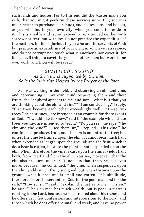such lands and houses. For to this end did the Master make you rich, that you might perform these services unto Him; and it is much better to purchase such lands, and possessions, and houses, as you will find in your own city, when you come to reside in it. This is a noble and sacred expenditure, attended neither with sorrow nor fear, but with joy. Do not practice the expenditure of the heathen, for it is injurious to you who are the servants of God; but practice an expenditure of your own, in which ye can rejoice; and do not corrupt nor touch what is another's nor covet it, for it is an evil thing to covet the goods of other men; but work thine own work, and thou wilt be saved."

# *SIMILITUDE SECOND As the Vine is Supported by the Elm, So is the Rich Man Helped by the Prayer of the Poor*

As I was walking in the field, and observing an elm and vine, and determining in my own mind respecting them and their fruits, the Shepherd appears to me, and says, "What is it that you are thinking about the elm and vine?" "I am considering," I reply, "that they become each other exceedingly well." "These two trees," he continues, "are intended as an example for the servants of God." "I would like to know," said I, "the example which these trees you say, are intended to teach." "Do you see," he says, "the elm and the vine?" "I see them sir," I replied. "This vine," he continued, "produces fruit, and the elm is an unfruitful tree; but unless the vine be trained upon the elm, it cannot bear much fruit when extended at length upon the ground; and the fruit which it does bear is rotten, because the plant is not suspended upon the elm. When, therefore, the vine is cast upon the elm, it yields fruit both, from itself and from the elm. You see, moreover, that the elm also produces much fruit, not less than the vine, but even more; because," he continued, "the vine, when suspended upon the elm, yields much fruit, and good; but when thrown upon the ground, what it produces is small and rotten. This similitude, therefore, is for the servants of God-for the poor man and for the rich." "How so, sir?" said I; "explain the matter to me." "Listen," he said: "The rich man has much wealth, but is poor in matters relating to the Lord, because he is distracted about his riches; and he offers very few confessions and intercessions to the Lord, and those which he does offer are small and weak, and have no power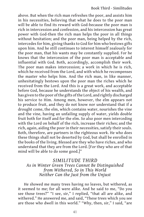above. But when the rich man refreshes the poor, and assists him in his necessities, believing that what he does to the poor man will be able to find its reward with God-because the poor man is rich in intercession and confession, and his intercession has great power with God-then the rich man helps the poor in all things without hesitation; and the poor man, being helped by the rich, intercedes for him, giving thanks to God for him who bestows gifts upon him. And he still continues to interest himself zealously for the poor man, that his wants may be constantly supplied. For he knows that the intercession of the poor man is acceptable and influential with God. Both, accordingly, accomplish their work. The poor man makes intercession; a work in which he is rich, which he received from the Lord, and with which he recompenses the master who helps him. And the rich man, in like manner, unhesitatingly bestows upon the poor man the riches which he received from the Lord. And this is a great work, and acceptable before God, because he understands the object of his wealth, and has given to the poor of the gifts of the Lord, and rightly discharged his service to Him. Among men, however, the elm appears not to produce fruit, and they do not know nor understand that if a drought come, the elm, which contains water, nourishes the vine and the vine, having an unfailing supply of water, yields double fruit both for itself and for the elm. So also poor men interceding with the Lord on behalf of the rich, increase their riches; and the rich, again, aiding the poor in their necessities, satisfy their souls. Both, therefore, are partners in the righteous work. He who does these things shall not be deserted by God, but shall be enrolled in the books of the living. Blessed are they who have riches, and who understand that they are from the Lord. [For they who are of that mind will be able to do some good.]"

# *SIMILITUDE THIRD As in Winter Green Trees Cannot Be Distinguished from Withered, So in This World Neither Can the Just from the Unjust*

He showed me many trees having no leaves, but withered, as it seemed to me; for all were alike. And he said to me, "Do you see those trees?" "I see, sir," I replied, "that all are alike, and withered." He answered me, and said, "These trees which you see are those who dwell in this world." "Why, then, sir," I said, "are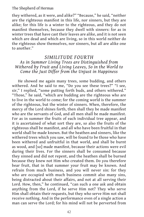they withered, as it were, and alike?" "Because," he said, "neither are the righteous manifest in this life, nor sinners, but they are alike; for this life is a winter to the righteous, and they do not manifest themselves, because they dwell with sinners: for as in winter trees that have cast their leaves are alike, and it is not seen which are dead and which are living, so in this world neither do the righteous show themselves, nor sinners, but all are alike one to another."

# *SIMILITUDE FOURTH As in Summer Living Trees are Distinguished from Withered by Fruit and Living Leaves, So in the World to Come the Just Differ from the Unjust in Happiness*

He showed me again many trees, some budding, and others withered. And he said to me, "Do you see these trees?" "I see, sir," I replied, "some putting forth buds, and others withered." "Those," he said, "which are budding are the righteous who are to live in the world to come; for the coming world is the summer of the righteous, but the winter of sinners. When, therefore, the mercy of the Lord shines forth, then shall they be made manifest who are the servants of God, and all men shall be made manifest. For as in summer the fruits of each individual tree appear, and it is ascertained of what sort they are, so also the fruits of the righteous shall be manifest, and all who have been fruitful in that world shall be made known. But the heathen and sinners, like the withered trees which you saw, will be found to be those who have been withered and unfruitful in that world, and shall be burnt as wood, and [so] made manifest, because their actions were evil during their lives. For the sinners shall be consumed because they sinned and did not repent, and the heathen shall be burned because they knew not Him who created them. Do you therefore bear fruit, that in that summer your fruit may be known. And refrain from much business, and you will never sin: for they who are occupied with much business commit also many sins, being distracted about their affairs, and not at all serving their Lord. How, then," he continued, "can such a one ask and obtain anything from the Lord, if he serve Him not? They who serve Him shall obtain their requests, but they who serve Him not shall receive nothing. And in the performance even of a single action a man can serve the Lord; for his mind will not be perverted from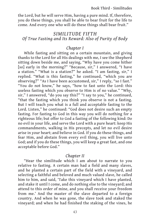the Lord, but he will serve Him, having a pure mind. If, therefore, you do these things, you shall be able to bear fruit for the life to come. And every one who will do these things shall bear fruit."

# *SIMILITUDE FIFTH Of True Fasting and Its Reward: Also of Purity of Body*

# *Chapter I*

While fasting and sitting on a certain mountain, and giving thanks to the Lord for all His dealings with me, I see the Shepherd sitting down beside me, and saying, "Why have you come hither [so] early in the morning?" "Because, sir," I answered, "I have a station." "What is a station?" he asked. "I am fasting, sir," I replied. "What is this fasting," he continued, "which you are observing?" "As I have been accustomed, sir," I reply, "so I fast." "You do not know," he says, "how to fast unto the Lord: this useless fasting which you observe to Him is of no value." "Why, sir," I answered, "do you say this?" "I say to you," he continued, "that the fasting which you think you observe is not a fasting. But I will teach you what is a full and acceptable fasting to the Lord. Listen," he continued: "God does not desire such an empty fasting. For fasting to God in this way you will do nothing for a righteous life; but offer to God a fasting of the following kind: Do no evil in your life, and serve the Lord with a pure heart: keep His commandments, walking in His precepts, and let no evil desire arise in your heart; and believe in God. If you do these things, and fear Him, and abstain from every evil thing, you will live unto God; and if you do these things, you will keep a great fast, and one acceptable before God."

### *Chapter II*

"Hear the similitude which I am about to narrate to you relative to fasting. A certain man had a field and many slaves, and he planted a certain part of the field with a vineyard, and selecting a faithful and beloved and much valued slave, he called him to him, and said, 'Take this vineyard which I have planted, and stake it until I come, and do nothing else to the vineyard; and attend to this order of mine, and you shall receive your freedom from me.' And the master of the slave departed to a foreign country. And when he was gone, the slave took and staked the vineyard; and when he had finished the staking of the vines, he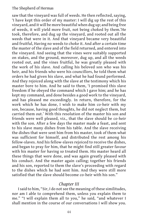saw that the vineyard was full of weeds. He then reflected, saying, 'I have kept this order of my master: I will dig up the rest of this vineyard, and it will be more beautiful when dug up; and being free of weeds, it will yield more fruit, not being choked by them.'He took, therefore, and dug up the vineyard, and rooted out all the weeds that were in it. And that vineyard became very beautiful and fruitful, Having no weeds to choke it. And after a certain time the master of the slave and of the field returned, and entered into the vineyard. And seeing that the vines were suitably supported on stakes, and the ground, moreover, dug up, and all the weeds rooted out, and the vines fruitful, he was greatly pleased with the work of his slave. And calling his beloved son who was his heir, and his friends who were his councillors, he told them what orders he had given his slave, and what he had found performed. And they rejoiced along with the slave at the testimony which his master bore to him. And he said to them, 'I promised this slave freedom if he obeyed the command which I gave him; and he has kept my command, and done besides a good work to the vineyard, and has pleased me exceedingly. In return, therefore, for the work which he has done, I wish to make him co-heir with my son, because, having good thoughts, he did not neglect them, but carried them out.' With this resolution of the master his son and friends were well pleased, viz., that the slave should be co-heir with the son. After a few days the master made a feast, and sent to his slave many dishes from his table. And the slave receiving the dishes that were sent him from his master, took of them what was sufficient for himself, and distributed the rest among his fellow-slaves. And his fellow-slaves rejoiced to receive the dishes, and began to pray for him, that he might find still greater favour with his master for having so treated them. His master heard all these things that were done, and was again greatly pleased with his conduct. And the master again calling; together his friends and his son, reported to them the slave's proceeding with regard to the dishes which he had sent him. And they were still more satisfied that the slave should become co-heir with his son."

# *Chapter III*

I said to him, "Sir, I do not see the meaning of these similitudes, nor am I able to comprehend them, unless you explain them to me." "I will explain them all to you," he said, "and whatever I shall mention in the course of our conversations I will show you.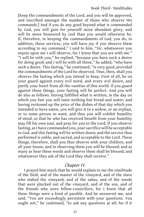[Keep the commandments of the Lord, and you will be approved, and inscribed amongst the number of those who observe His commands.] And if you do any good beyond what is commanded by God, you will gain for yourself more abundant glory, and will be more honoured by God than you would otherwise be. If, therefore, in keeping the commandments of God, you do, in addition, these services, you will have joy if you observe them according to my command." I said to him, "Sir, whatsoever you enjoin upon me I will observe, for I know that you are with me." "I will be with you," he replied, "because you have such a desire for doing good; and I will be with all those," he added, "who have such a desire. This fasting," he continued, "is very good, provided the commandments of the Lord be observed. Thus, then, shall you observe the fasting which you intend to keep. First of all, be on your guard against every evil word, and every evil desire, and purify your heart from all the vanities of this world. If you guard against these things, your fasting will be perfect. And you will do also as follows. Having fulfilled what is written, in the day on which you fast you will taste nothing but bread and water; and having reckoned up the price of the dishes of that day which you intended to have eaten, you will give it to a widow, or an orphan, or to some person in want, and thus you will exhibit humility of mind, so that he who has received benefit from your humility may fill his own soul, and pray for you to the Lord. If you observe fasting, as I have commanded you, your sacrifice will be acceptable to God, and this fasting will be written down; and the service thus performed is noble, and sacred, and acceptable to the Lord. These things, therefore, shall you thus observe with your children, and all your house, and in observing them you will be blessed; and as many as hear these words and observe them shall be blessed; and whatsoever they ask of the Lord they shall receive."

# *Chapter IV*

I prayed him much that he would explain to me the similitude of the field, and of the master of the vineyard, and of the slave who staked the vineyard, and of the sakes, and of the weeds that were plucked out of the vineyard, and of the son, and of the friends who were fellow-councillors, for I knew that all these things were a kind of parable. And he answered me, and said, "You are exceedingly persistent with your questions. You ought not," he continued, "to ask any questions at all; for if it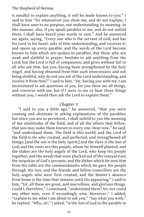is needful to explain anything, it will be made known to you." I said to him "Sir whatsoever you show me, and do not explain, I shall have seen to no purpose, not understanding its meaning. In like manner, also, if you speak parables to me, and do not unfold them, I shall have heard your words in vain." And he answered me again, saying, "Every one who is the servant of God, and has his Lord in his heart, asks of Him understanding, and receives it, and opens up every parable; and the words of the Lord become known to him which are spoken in parables. But those who are weak and slothful in prayer, hesitate to ask anything from the Lord; but the Lord is full of compassion, and gives without fail to all who ask Him. But you, having been strengthened by the holy Angel, and having obtained from Him such intercession, and not being slothful, why do not you ask of the Lord understanding, and receive it from Him?" I said to him, "Sir, having you with me, I am necessitated to ask questions of you, for you show me all things, and converse with me; but if I were to see or hear these things without you, I would then ask the Lord to explain them."

### *Chapter V*

"I said to you a little ago," he answered, "that you were cunning and obstinate in asking explanations of the parables; but since you are so persistent, I shall unfold to you the meaning of the similitudes of the field, and of all the others that follow, that you may make them known to every one. Hear now," he said, "and understand them. The field is this world; and the Lord of the field is He who created, and perfected, and strengthened all things; [and the son is the Holy Spirit;] and the slave is the Son of God; and the vines are this people, whom He Himself planted; and the stakes are the holy angels of the Lord, who keep His people together; and the weeds that were plucked out of the vineyard are the iniquities of God's servants; and the dishes which He sent Him from His table are the commandments which He gave His people through His Son; and the friends and fellow-councillors are the holy angels who were first created; and the Master's absence from home is the time that remains until His appearing." I said to him, "Sir, all these are great, and marvellous, and glorious things. Could I, therefore," I continued, "understand them? No, nor could any other man, even if exceedingly wise. Moreover," I added, "explain to me what I am about to ask you." "Say what you wish," he replied. "Why, sir," I asked, "is the Son of God in the parable in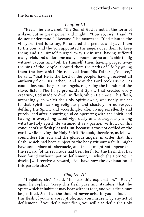the form of a slave?"

### *Chapter VI*

"Hear," he answered: "the Son of God is not in the form of a slave, but in great power and might." "How so, sir?" I said; "I do not understand." "Because," he answered, "God planted the vineyard, that is to say, He created the people, and gave them to His Son; and the Son appointed His angels over them to keep them; and He Himself purged away their sins, having suffered many trials and undergone many labours, for no one is able to dig without labour and toil. He Himself, then, having purged away the sins of the people, showed them the paths of life by giving them the law which He received from His Father. [You see," he said, "that He is the Lord of the people, having received all authority from His Father.] And why the Lord took His Son as councillor, and the glorious angels, regarding the heirship of the slave, listen. The holy, pre-existent Spirit, that created every creature, God made to dwell in flesh, which He chose. This flesh, accordingly, in which the Holy Spirit dwelt, was nobly subject to that Spirit, walking religiously and chastely, in no respect defiling the Spirit; and accordingly, after living excellently and purely, and after labouring and co-operating with the Spirit, and having in everything acted vigorously and courageously along with the Holy Spirit, He assumed it as a partner with it. For this conduct of the flesh pleased Him, because it was not defiled on the earth while having the Holy Spirit. He took, therefore, as fellowcouncillors His Son and the glorious angels, in order that this flesh, which had been subject to the body without a fault, might have some place of tabernacle, and that it might not appear that the reward [of its servitude had been lost], for the flesh that has been found without spot or defilement, in which the Holy Spirit dwelt, [will receive a reward]. You have now the explanation of this parable also."

#### *Chapter VII*

"I rejoice, sir," I said, "to hear this explanation." "Hear," again he replied: "Keep this flesh pure and stainless, that the Spirit which inhabits it may bear witness to it, and your flesh may be justified. See that the thought never arise in your mind that this flesh of yours is corruptible, and you misuse it by any act of defilement. If you defile your flesh, you will also defile the Holy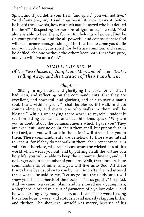Spirit; and if you defile your flesh [and spirit], you will not live." "And if any one, sir," I said, "has been hitherto ignorant, before he heard these words, how can such man be saved who has defiled his flesh?" "Respecting former sins of ignorance," he said, "God alone is able to heal them, for to Him belongs all power. [But be On your guard now, and the all-powerful and compassionate God will heal former transgressions], if for the time to come you defile not your body nor your spirit; for both are common, and cannot be defiled, the one without the other: keep both therefore pure, and you will live unto God."

#### *SIMILITUDE SIXTH*

# *Of the Two Classes of Voluptuous Men, and of Their Death, Falling Away, and the Duration of Their Punishment*

### *Chapter I*

Sitting in my house, and glorifying the Lord for all that I had seen, and reflecting on the commandments, that they are excellent, and powerful, and glorious, and able to save a man's soul, I said within myself, "I shall be blessed if I walk in these commandments, and every one who walks in them will be blessed." While I was saying these words to myself, I suddenly see him sitting beside me, and hear him thus speak: "Why are you in doubt about the commandments which I gave you? They are excellent: have no doubt about them at all, but put on faith in the Lord, and you will walk in them, for I will strengthen you in them. These commandments are beneficial to those who intend to repent: for if they do not walk in them, their repentance is in vain You, therefore, who repent cast away the wickedness of this world which wears you out; and by putting on all the virtues of a holy life, you will be able to keep these commandments, and will no longer add to the number of your sins. Walk, therefore, in these commandments of mine, and you will live unto God. All these things have been spoken to you by me." And after he had uttered these words, he said to me, "Let us go into the fields, and I will show you the shepherds of the flocks." "Let us go, sir," I replied. And we came to a certain plain, and he showed me a young man, a shepherd, clothed in a suit of garments of a yellow colour: and he was herding very many sheep, and these sheep were feeding luxuriously, as it were, and riotously, and merrily skipping hither and thither. The shepherd himself was merry, because of his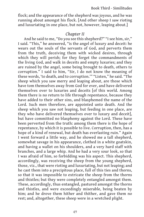flock; and the appearance of the shepherd was joyous, and he was running about amongst his flock. [And other sheep I saw rioting and luxuriating in one place, but not, however, leaping about.]

### *Chapter II*

And he said to me, "Do you see this shepherd?" "I see him, sir," I said. "This," he answered, "is the angel of luxury and deceit: he wears out the souls of the servants of God, and perverts them from the truth, deceiving them with wicked desires, through which they will perish; for they forget the commandments of the living God, and walk in deceits and empty luxuries; and they are ruined by the angel, some being brought to death, others to corruption." I said to him, "Sir, I do not know the meaning of these words, 'to death, and to corruption.'" "Listen," he said. "The sheep which you saw merry and leaping about, are those which have tom themselves away from God for ever, and have delivered themselves over to luxuries and deceits [of this world. Among them there is no return to life through repentance, because they have added to their other sins, and blasphemed the name of the Lord. Such men therefore, are appointed unto death. And the sheep which you saw not leaping, but feeding in one place, are they who have delivered themselves over to luxury and deceit], but have committed no blasphemy against the Lord. These have been perverted from the truth: among them there is the hope of repentance, by which it is possible to live. Corruption, then, has a hope of a kind of renewal, but death has everlasting ruin." Again I went forward a little way, and he showed me a tall shepherd, somewhat savage in his appearance, clothed in a white goatskin, and having a wallet on his shoulders, and a very hard staff with branches, and a large whip. And he had a very sour look, so that I was afraid of him, so forbidding was his aspect. This shepherd, accordingly, was receiving the sheep from the young shepherd, those, viz., that were rioting and luxuriating, but not leaping; and he cast them into a precipitous place, full of this ties and thorns, so that it was impossible to extricate the sheep from the thorns and thistles; but they were completely entangled amongst them. These, accordingly, thus entangled, pastured amongst the thorns and thistles, and were exceedingly miserable, being beaten by him; and he drove them hither and thither, and gave them no rest; and, altogether, these sheep were in a wretched plight.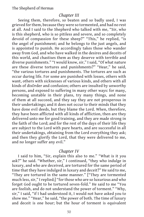### *Chapter III*

Seeing them, therefore, so beaten and so badly used, I was grieved for them, because they were so tormented, and had no rest at all. And I said to the Shepherd who talked with me, "Sir, who is this shepherd, who is so pitiless and severe, and so completely devoid of compassion for these sheep?" "This," he replied, "is the angel of punishment; and he belongs to the just angels, and is appointed to punish. He accordingly takes those who wander away from God, and who have walked in the desires and deceits of this world, and chastises them as they deserve with terrible and diverse punishments." "I would know, sir," I said, "Of what nature are these diverse tortures and punishments?" "Hear," he said, "the various tortures and punishments. The tortures are such as occur during life. For some are punished with losses, others with want, others with sicknesses of various kinds, and others with all kinds of disOrder and confusion; others are insulted by unworthy persons, and exposed to suffering in many other ways: for many, becoming unstable in their plans, try many things, and none of them at all succeed, and they say they are not prosperous in their undertakings; and it does not occur to their minds that they have done evil deeds, but they blame the Lord. When, therefore, they have been afflicted with all kinds of affliction, then are they delivered unto me for good training, and they are made strong in the faith of the Lord; and for the rest of the days of their life they are subject to the Lord with pure hearts, and are successful in all their undertakings, obtaining from the Lord everything they ask; and then they glorify the Lord, that they were delivered to me, and no longer suffer any evil."

### *Chapter IV*

I said to him, "Sir, explain this also to me." "What is it you ask?" he said. "Whether, sir," I continued, "they who indulge in luxury, and who are deceived, are tortured for the same period of time that they have indulged in luxury and deceit?" He said to me, "They are tortured in the same manner." ["They are tormented much less, sir," I replied;] "for those who are so luxurious and who forget God ought to be tortured seven-fold." He said to me "You are foolish, and do not understand the power of torment." "Why, sir," I said, "if I had understood it, I would not have asked you to show me." "Hear," he said, "the power of both. The time of luxury and deceit is one hour; but the hour of torment is equivalent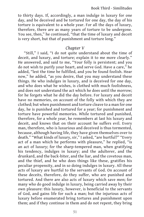to thirty days. If, accordingly, a man indulge in luxury for one day, and be deceived and be tortured for one day, the day of his torture is equivalent to a whole year. For all the days of luxury, therefore, there are as many years of torture to be undergone. You see, then," he continued, "that the time of luxury and deceit is very short, but that of punishment and torture long."

# *Chapter V*

"Still," I said, "I do not quite understand about the time of deceit, and luxury, and torture; explain it to me more clearly." He answered, and said to me, "Your folly is persistent; and you do not wish to purify your heart, and serve God. Have a care," he added, "lest the time be fulfilled, and you be found foolish. Hear now," he added, "as you desire, that you may understand these things. He who indulges in luxury, and is deceived for one day, and who does what he wishes, is clothed with much foolishness, and does not understand the act which he does until the morrow; for he forgets what he did the day before. For luxury and deceit have no memories, on account of the folly with which they are clothed; but when punishment and torture cleave to a man for one day, he is punished and tortured for a year; for punishment and torture have powerful memories. While tortured and punished, therefore, for a whole year, he remembers at last his luxury and deceit, and knows that on their account he suffers evil. Every man, therefore, who is luxurious and deceived is thus tormented, because, although having life, they have given themselves over to death." "What kinds of luxury, sir," I asked, "are hurtful?" "Every act of a man which he performs with pleasure," he replied, "is an act of luxury; for the sharp-tempered man, when gratifying his tendency, indulges in luxury; and the adulterer, and the drunkard, and the back-biter, and the liar, and the covetous man, and the thief, and he who does things like these, gratifies his peculiar propensity, and in so doing indulges in luxury. All these acts of luxury are hurtful to the servants of God. On account of these deceits, therefore, do they suffer, who are punished and tortured. And there are also acts of luxury which save men; for many who do good indulge in luxury, being carried away by their own pleasure: this luxury, however, is beneficial to the servants of God, and gains life for such a man; but the injurious acts of luxury before enumerated bring tortures and punishment upon them; and if they continue in them and do not repent, they bring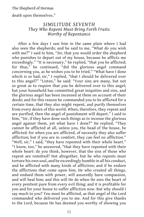death upon themselves."

# *SIMILITUDE SEVENTH They Who Repent Must Bring Forth Fruits Worthy of Repentance*

After a few days I saw him in the same plain where I had also seen the shepherds; and he said to me, "What do you wish with me?" I said to him, "Sir, that you would order the shepherd who punishes to depart out of my house, because he afflicts me exceedingly." "It is necessary," he replied, "that you be afflicted; for thus," he continued, "did the glorious angel command concerning you, as he wishes you to be tried." "What have I done which is so bad, sir," I replied, "that I should be delivered over to this angel?" "Listen," he said: "Your sins are many, but not so great as to require that you be delivered over to this angel; but your household has committed great iniquities and sins, and the glorious angel has been incensed at them on account of their deeds; and for this reason he commanded you to be afflicted for a certain time, that they also might repent, and purify themselves from every desire of this world. When, therefore, they repent and are purified, then the angel of punishment will depart." I said to him, "Sir, if they have done such things as to incense the glorious angel against them, yet what have I done?" He replied, "They cannot be afflicted at all, unless you, the head of the house, be afflicted: for when you are afflicted, of necessity they also suffer affliction; but if you are in comfort, they can feel no affliction." "Well, sir," I said, "they have repented with their whole heart." "I know, too," he answered, "that they have repented with their whole heart: do you think, however, that the sins of those who repent are remitted? Not altogether, but he who repents must torture his own soul, and be exceedingly humble in all his conduct, and be afflicted with many kinds of affliction; and if he endure the afflictions that come upon him, He who created all things, and endued them with power, will assuredly have compassion, and will heal him; and this will He do when He sees the heart of every penitent pure from every evil thing: and it is profitable for you and for your house to suffer affliction now. But why should I say much to you? You must be afflicted, as that angel of the Lord commanded who delivered you to me. And for this give thanks to the Lord, because He has deemed you worthy of showing you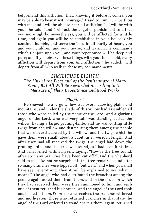beforehand this affliction, that, knowing it before it comes, you may be able to bear it with courage." I said to him, "Sir, be thou with me, and I will be able to bear all affliction." "I will be with you," he said, "and I will ask the angel of punishment to afflict you more lightly; nevertheless, you will be afflicted for a little time, and again you will be re-established in your house. Only continue humble, and serve the Lord in all purity of heart, you and your children, and your house, and walk in my commands which I enjoin upon you, and your repentance will be deep and pure; and if you observe these things with your household, every affliction will depart from you. And affliction," he added, "will depart from all who walk in these my commandments."

# *SIMILITUDE EIGHTH*

*The Sins of the Elect and of the Penitent are of Many Kinds, But All Will Be Rewarded According to the Measure of Their Repentance and Good Works*

# *Chapter I*

He showed me a large willow tree overshadowing plains and mountains, and under the shade of this willow had assembled all those who were called by the name of the Lord. And a glorious angel of the Lord, who was very tall, was standing beside the willow, having a large, pruning-knife, and he was cutting little twigs from the willow and distributing them among the people that were overshadowed by the willow; and the twigs which he gave them were small, about a cubit, as it were, in length. And after they had all received the twigs, the angel laid down the pruning-knife, and that tree was sound, as I had seen it at first. And I marvelled within myself, saying, "How is the tree sound, after so many branches have been cut off?" And the Shepherd said to me, "Do not be surprised if the tree remains sound after so many branches were lopped off; [but wait,] and when you shall have seen everything, then it will be explained to you what it means." The angel who had distributed the branches among the people again asked them from them, and in the order in which they had received them were they summoned to him, and each one of them returned his branch. And the angel of the Lord took and looked at them. From some he received the branches withered and moth-eaten; those who returned branches in that state the angel of the Lord ordered to stand apart. Others, again, returned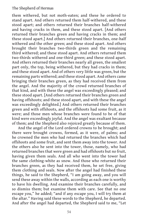them withered, but not moth-eaten; and these he ordered to stand apart. And others returned them half-withered, and these stood apart; and others returned their branches half-withered and having cracks in them, and these stood apart. [And others returned their branches green and having cracks in them; and these stood apart.] And others returned their branches, one-half withered and the other green; and these stood apart. And others brought their branches two-thirds green and the remaining third withered; and these stood apart. And others returned them two-thirds withered and one-third green; and these stood apart. And others returned their branches nearly all green, the smallest part only, the top, being withered, but they had cracks in them; and these stood apart. And of others very little was green, but the remaining parts withered; and these stood apart. And others came bringing their branches green, as they had received them from the angel. And the majority of the crowd returned branches of that kind, and with these the angel was exceedingly pleased; and these stood apart. [And others returned their branches green and having offshoots; and these stood apart, and with these the angel was exceedingly delighted.] And others returned their branches green and with offshoots, and the offshoots had some fruit, as it were; and those men whose branches were found to be of that kind were exceedingly joyful. And the angel was exultant because of them; and the Shepherd also rejoiced greatly because of them.

And the angel of the Lord ordered crowns to be brought; and there were brought crowns, formed, as it were, of palms; and he crowned the men who had returned the branches which had offshoots and some fruit, and sent them away into the tower. And the others also he sent into the tower, those, namely, who had returned branches that were green and had offshoots but no fruit, having given them seals. And all who went into the tower had the same clothing-white as snow. And those who returned their branches green, as they had received them, he set free, giving them clothing and seals. Now after the angel had finished these things, he said to the Shepherd, "I am going away, and you will send these away within the walls, according as each one is worthy to have his dwelling. And examine their branches carefully, and so dismiss them; but examine them with care. See that no one escape you," he added; "and if any escape you, I will try them at the altar." Having said these words to the Shepherd, he departed. And after the angel had departed, the Shepherd said to me, "Let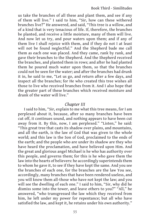us take the branches of all these and plant them, and see if any of them will live." I said to him, "Sir, how can these withered branches live?" He answered, and said, "This tree is a willow, and of a kind that is very tenacious of life. If, therefore, the branches be planted, and receive a little moisture, many of them will live. And now let us try, and pour waters upon them; and if any of them live I shall rejoice with them, and if they do not I at least will not be found neglectful." And the Shepherd bade me call them as each one was placed. And they came, rank by rank, and gave their branches to the Shepherd. And the Shepherd received the branches, and planted them in rows; and after he had planted them he poured much water upon them, so that the branches could not be seen for the water; and after the branches had drunk it in, he said to me, "Let us go, and return after a few days, and inspect all the branches; for He who created this tree wishes all those to live who received branches from it. And I also hope that the greater part of these branches which received moisture and drank of the water will live."

# *Chapter III*

I said to him, "Sir, explain to me what this tree means, for I am perplexed about it, because, after so many branches have been cut off, it continues sound, and nothing appears to have been cut away from it. By this, now, I am perplexed." "Listen," he said: "This great tree that casts its shadow over plains, and mountains, and all the earth, is the law of God that was given to the whole world; and this law is the Son of God, proclaimed to the ends of the earth; and the people who are under its shadow are they who have heard the proclamation, and have believed upon Him. And the great and glorious angel Michael is he who has authority over this people, and governs them; for this is he who gave them the law into the hearts of believers: he accordingly superintends them to whom he gave it, to see if they have kept the same. And you see the branches of each one, for the branches are the law You see, accordingly, many branches that have been rendered useless, and you will know them all-those who have not kept the law; and you will see the dwelling of each one." I said to him, "Sir, why did he dismiss some into the tower, and leave others to you?" "All," he answered, "who transgressed the law which they received from him, he left under my power for repentance; but all who have satisfied the law, and kept it, he retains under his own authority."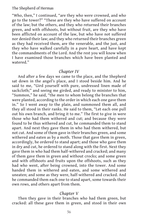"Who, then," I continued, "are they who were crowned, and who go to the tower?" "These are they who have suffered on account of the law; but the others, and they who returned their branches green, and with offshoots, but without fruit, are they who have been afflicted on account of the law, but who have not suffered nor denied their law; and they who returned their branches green as they had received them, are the venerable, and the just, and they who have walked carefully in a pure heart, and have kept the commandments of the Lord. And the rest you will know when I have examined those branches which have been planted and watered."

# *Chapter IV*

And after a few days we came to the place, and the Shepherd sat down in the angel's place, and I stood beside him. And he said to me, "Gird yourself with pure, undressed linen made of sackcloth;" and seeing me girded, and ready to minister to him, "Summon," he said, "the men to whom belong the branches that were planted, according to the order in which each one gave them in." So I went away to the plain, and summoned them all, and they all stood in their ranks. He said to them, "Let each one pull out his own branch, and bring it to me." The first to give in were those who had them withered and cut; and because they were found to be thus withered and cut, he commanded them to stand apart. And next they gave them in who had them withered, but not cut. And some of them gave in their branches green, and some withered and eaten as by a moth. Those that gave them in green, accordingly, he ordered to stand apart; and those who gave them in dry and cut, he ordered to stand along with the first. Next they gave them in who had them half-withered and cracked; and many of them gave them in green and without crocks; and some green and with offshoots and fruits upon the offshoots, such as they had who went, after being crowned, into the tower. And some handed them in withered and eaten, and some withered and uneaten; and some as they were, half-withered and cracked. And he commanded them each one to stand apart, some towards their own rows, and others apart from them.

# *Chapter V*

Then they gave in their branches who had them green, but cracked: all these gave them in green, and stood in their own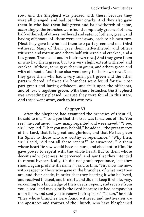row. And the Shepherd was pleased with these, because they were all changed, and had lost their cracks. And they also gave them in who had them half-green and half-withered: of some, accordingly, the branches were found completely green; of others, half-withered; of others, withered and eaten; of others, green, and having offshoots. All these were sent away, each to his own row. [Next they gave in who had them two parts green and one-third withered. Many of them gave them half-withered; and others withered and rotten; and others half-withered and cracked, and a few green. These all stood in their own row.] And they gave them in who had them green, but to a very slight extent withered and cracked. Of these, some gave them in green, and others green and with offshoots. And these also went away to their own row. Next they gave them who had a very small part green and the other parts withered. Of these the branches were found for the most part green and having offshoots, and fruit upon the offshoots, and others altogether green. With these branches the Shepherd was exceedingly pleased, because they were found in this state. And these went away, each to his own row.

### *Chapter VI*

After the Shepherd had examined the branches of them all, he said to me, "I told you that this tree was tenacious of life. You see," he continued, "how many repented and were saved." "I see, sir," I replied. "That you may behold," he added, "the great mercy of the Lord, that it is great and glorious, and that He has given His Spirit to those who are worthy of repentance." "Why then, sir," I said, "did not all these repent?" He answered, "To them whose heart He saw would become pure, and obedient to Him, He gave power to repent with the whole heart. But to them whose deceit and wickedness He perceived, and saw that they intended to repent hypocritically, He did not grant repentance, lest they should again profane His name." I said to him, "Sir, show me now, with respect to those who gave in the branches, of what sort they are, and their abode, in order that they hearing it who believed, and received the seal, and broke it, and did not keep it whole, may, on coming to a knowledge of their deeds, repent, and receive from you. a seal, and may glorify the Lord because He had compassion upon them, and sent you to renew their spirits." "Listen," he said: "they whose branches were found withered and moth-eaten are the apostates and traitors of the Church, who have blasphemed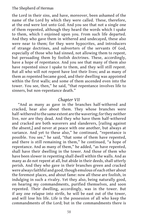the Lord in their sins, and have, moreover, been ashamed of the name of the Lord by which they were called. These, therefore, at the end were lost unto God. And you see that not a single one of them repented, although they heard the words which I spake to them, which I enjoined upon you. From such life departed. And they who gave them in withered and undecayed, these also were near to them; for they were hypocrites, and introducers of strange doctrines, and subverters of the servants Of God, especially of those who had sinned, not allowing them to repent, but persuading them by foolish doctrines. These, accordingly, have a hope of repentance. And you see that many of them also have repented since I spake to them, and they will still repent. But all who will not repent have lost their lives; and as many of them as repented became good, and their dwelling was appointed within the first walls; and some of them ascended even into the tower. You see, then," he said, "that repentance involves life to sinners, but non-repentance death."

### *Chapter VII*

"And as many as gave in the branches half-withered and cracked, hear also about them. They whose branches were half-withered to the same extent are the wavering; for they neither live, nor are they dead. And they who have them half-withered and cracked are both waverers and slanderers, [railing against the absent,] and never at peace with one another, but always at variance. And yet to these also," he continued, "repentance is possible. You see," he said, "that some of them have repented, and there is still remaining in them," he continued, "a hope of repentance. And as many of them," he added, "as have repented, shall have their dwelling in the tower. And those of them who have been slower in repenting shall dwell within the walls. And as many as do not repent at all, but abide in their deeds, shall utterly perish. And they who gave in their branches green and cracked were always faithful and good, though emulous of each other about the foremost places, and about fame: now all these are foolish, in indulging in such a rivalry. Yet they also, being naturally good, on hearing my commandments, purified themselves, and soon repented. Their dwelling, accordingly, was in the tower. But if any one relapse into strife, he will be east out of the tower, and will lose his life. Life is the possession of all who keep the commandments of the Lord; but in the commandments there is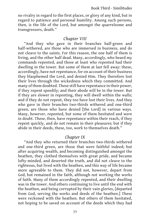no rivalry in regard to the first places, or glory of any kind, but in regard to patience and personal humility. Among such persons, then, is the life of the Lord, but amongst the quarrelsome and transgressors, death."

# *Chapter VIII*

"And they who gave in their branches half-green and half-withered, are those who are immersed in business, and do not cleave to the saints. For this reason, the one half of them is living, and the other half dead. Many, accordingly, who heard my commands repented, and those at least who repented had their dwelling in the tower. But some of them at last fell away: these, accordingly, have not repentance, for on account of their business they blasphemed the Lord, and denied Him. They therefore lost their lives through the wickedness which they committed. And many of them doubted. These still have repentance in their power, if they repent speedily; and their abode will be in the tower. But if they are slower in repenting, they will dwell within the walls; and if they do not repent, they too have lost their lives. And they who gave in their branches two-thirds withered and one-third green, are those who have denied [the Lord] in various ways. Many, however, repented, but some of them hesitated and were in doubt. These, then, have repentance within their reach, if they repent quickly, and do not remain in their pleasures; but if they abide in their deeds, these, too, work to themselves death."

# *Chapter IX*

"And they who returned their branches two-thirds withered and one-third green, are those that were faithful indeed; but after acquiring wealth, and becoming distinguished amongst the heathen, they clothed themselves with great pride, and became lofty-minded, and deserted the truth, and did not cleave to the righteous, but lived with the heathen, and this way of life became more agreeable to them. They did not, however, depart from God, but remained in the faith, although not working the works of faith. Many of them accordingly repented, and their dwelling was in the tower. And others continuing to live until the end with the heathen, and being corrupted by their vain glories, [departed from God, serving the works and deeds of the heathen.] These were reckoned with the heathen. But others of them hesitated, not hoping to be saved on account of the deeds which they had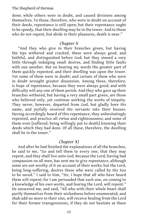done; while others were in doubt, and caused divisions among themselves. To those, therefore, who were in doubt on account of their deeds, repentance is still open; but their repentance ought to be speedy, that their dwelling may be in the tower. And to those who do not repent, but abide in their pleasures, death is near."

# *Chapter X*

"And they who give in their branches green, but having the tips withered and cracked, these were always good, and faithful, and distinguished before God; but they sinned a very little through indulging small desires, and finding little faults with one another. But on hearing my words the greater part of them quickly repented, and their dwelling was upon the tower. Yet some of them were in doubt; and certain of them who were in doubt wrought greater dissension. Among these, therefore, is hope of repentance, because they were always good; and with difficulty will any one of them perish. And they who gave up their branches withered, but having a very small part green, are those who believed only, yet continue working the works of iniquity. They never, however, departed from God, but gladly bore His name, and joyfully received His servants into their houses. Having accordingly heard of this repentance, they unhesitatingly repented, and practice all virtue and righteousness; and some of them even [suffered, being willingly put to death] knowing their deeds which they had done. Of all these, therefore, the dwelling shall be in the tower."

# *Chapter XI*

And after he had finished the explanations of all the branches, he said to me, "Go and tell them to every one, that they may repent, and they shall live unto God. Because the Lord, having had compassion on all men, has sent me to give repentance, although some are not worthy of it on account of their works; but the Lord, being long-suffering, desires those who were called by His Son to be saved." I said to him, "Sir, I hope that all who have heard them will repent; for I am persuaded that each one, on coming to a knowledge of his own works, and fearing the Lord, will repent." He answered me, and said, "All who with their whole heart shall purify themselves from their wickedness before enumerated, and shah add no more to their sins, will receive healing from the Lord for their former transgressions, if they do not hesitate at these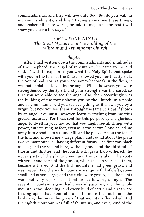commandments; and they will live unto God. But do you walk in my commandments, and live." Having shown me these things, and spoken all these words, he said to me, "And the rest I will show you after a few days."

# *SIMILITUDE NINTH The Great Mysteries in the Building of the Militant and Triumphant Church*

# *Chapter I*

After I had written down the commandments and similitudes of the Shepherd, the angel of repentance, he came to me and said, "I wish to explain to you what the Holy Spirit that spake with you in the form of the Church showed you, for that Spirit is the Son of God. For, as you were somewhat weak in the flesh, it was not explained to you by the angel. When, however, you were strengthened by the Spirit, and your strength was increased, so that you were able to see the angel also, then accordingly was the building of the tower shown you by the Church. In a noble and solemn manner did you see everything as if shown you by a virgin; but now you see [them] through the same Spirit as if shown by an angel. You must, however, learn everything from me with greater accuracy. For I was sent for this purpose by the glorious angel to dwell in your house, that you might see all things with power, entertaining no fear, even as it was before." And he led me away into Arcadia, to a round hill; and he placed me on the top of the hill, and showed me a large plain, and round about the plain twelve mountains, all having different forms. The first was black as soot; and the second bare, without grass; and the third full of thorns and thistles; and the fourth with grass half-withered, the upper parts of the plants green, and the parts about the roots withered; and some of the grasses, when the sun scorched them, became withered. And the fifth mountain had green grass, and was ragged. And the sixth mountain was quite full of clefts, some small and others large; and the clefts were grassy, but the plants were not very vigorous, but rather, as it were, decayed. The seventh mountain, again, had cheerful pastures, and the whole mountain was blooming, and every kind of cattle and birds were feeding upon that mountain; and the more the cattle and the birds ate, the more the grass of that mountain flourished. And the eighth mountain was full of fountains, and every kind of the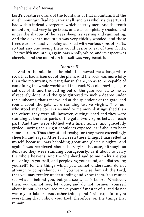Lord's creatures drank of the fountains of that mountain. But the ninth mountain [had no water at all, and was wholly a desert, and had within it deadly serpents, which destroy men. And the tenth mountain] had very large trees, and was completely shaded, and under the shadow of the trees sheep lay resting and ruminating. And the eleventh mountain was very thickly wooded, and those trees were productive, being adorned with various sons of fruits, so that any one seeing them would desire to eat of their fruits. The twelfth mountain, again, was wholly white, and its aspect was cheerful, and the mountain in itself was very beautiful.

# *Chapter II*

And in the middle of the plain he showed me a large white rock that had arisen out of the plain. And the rock was more lofty than the mountains, rectangular in shape, so as to be capable of containing the whole world: and that rock Was old, having a gate cut out of it; and the cutting out of the gate seemed to me as if recently done. And the gate glittered to such a degree under the sunbeams, that I marvelled at the splendour of the gate; and round about the gate were standing twelve virgins. The four who stood at the corners seemed to me more distinguished than the others-they were all, however, distinguished-and they were standing at the four parts of the gate; two virgins between each part. And they were clothed with linen tunics, and gracefully girded, having their right shoulders exposed, as if about to bear some burden. Thus they stood ready; for they were exceedingly cheerful and eager. After I had seen these things, I marvelled in myself, because I was beholding great and glorious sights. And again I was perplexed about the virgins, because, although so delicate, they were standing courageously, as if about to carry the whole heavens. And the Shepherd said to me "Why are you reasoning in yourself, and perplexing your mind, and distressing yourself? for the things which you cannot understand, do not attempt to comprehend, as if you were wise; but ask the Lord, that you may receive understanding and know them. You cannot see what is behind you, but you see what is before. Whatever, then, you cannot see, let alone, and do not torment yourself about it: but what you see, make yourself master of it, and do not waste your labour about other things; and I will explain to you everything that I show you. Look therefore, on the things that remain."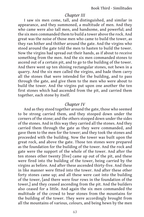### *Chapter III*

I saw six men come, tall, and distinguished, and similar in appearance, and they summoned, a multitude of men. And they who came were also tall men, and handsome, and powerful; and the six men commanded them to build a tower above the rock. And great was the noise of those men who came to build the tower, as they ran hither and thither around the gate. And the virgins who stood around the gate told the men to hasten to build the tower. Now the virgins had spread out their hands, as if about to receive something from the men. And the six men commanded stones to ascend out of a certain pit, and to go to the building of the tower. And there went up ten shining rectangular stones, not hewn in a quarry. And the six men called the virgins, and bade them carry all the stones that were intended for the building, and to pass through the gate, and give them to the men who were about to build the tower. And the virgins put upon one another the ten first stones which had ascended from the pit, and carried them together, each stone by itself.

# *Chapter IV*

And as they stood together around the gate, those who seemed to be strong carried them, and they stooped down under the corners of the stone; and the others stooped down under the sides of the stones. And in this way they carried all the stones. And they carried them through the gate as they were commanded, and gave them to the men for the tower; and they took the stones and proceeded with the building. Now the tower was built upon the great rock, and above the gate. Those ten stones were prepared as the foundation for the building of the tower. And the rock and gate were the support of the whole of the tower. And after the ten stones other twenty [five] came up out of the pit, and these were fired into the building of the tower, being carried by the virgins as before. And after these ascended thirty-five. And these in like manner were fitted into the tower. And after these other forty stones came up; and all these were cast into the building of the tower, [and there were four rows in the foundation of the tower,] and they ceased ascending from the pit. And the builders also ceased for a little. And again the six men commanded the multitude of the crowd to bear stones from the mountains for the building of the tower. They were accordingly brought from all the mountains of various, colours, and being hewn by the men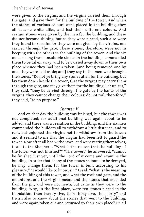were given to the virgins; and the virgins carried them through the gate, and gave them for the building of the tower. And when the stones of various colours were placed in the building, they all became white alike, and lost their different colours. And certain stones were given by the men for the building, and these did not become shining; but as they were placed, such also were they found to remain: for they were not given by the virgins, nor carried through the gate. These stones, therefore, were not in keeping with the others in the building of the tower. And the six men, seeing these unsuitable stones in the building, commanded them to be taken away, and to be carried away down to their own place whence they had been taken; [and being removed one by one, they were laid aside; and] they say to the men who brought the stones, "Do not ye bring any stones at all for the building, but lay them down beside the tower, that the virgins may carry them through the gate, and may give them for the building. For unless," they said, "they be carried through the gate by the hands of the virgins, they cannot change their colours: do not toil, therefore," they said, "to no purpose."

### *Chapter V*

And on that day the building was finished, but the tower was not completed; for additional building was again about to be added, and there was a cessation in the building. And the six men commanded the builders all to withdraw a little distance, and to rest, but enjoined the virgins not to withdraw from the tower; and it seemed to me that the virgins had been left to guard the tower. Now after all had withdrawn, and were resting themselves, I said to the Shepherd, "What is the reason that the building of the tower was not finished?" "The tower," he answered, "cannot be finished just yet, until the Lord of it come and examine the building, in order that, if any of the stones be found to be decayed, he may change them: for the tower is built according to his pleasure." "I would like to know, sir," I said, "what is the meaning of the building of this tower, and what the rock and gate, and the mountains, and the virgins mean, and the stones that ascended from the pit, and were not hewn, but came as they were to the building. Why, in the first place, were ten stones placed in the foundation, then twenty-five, then thirty-five, then forty? and I wish also to know about the stones that went to the building, and were again taken out and returned to their own place? On all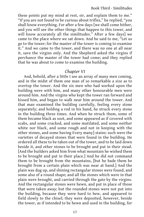these points put my mind at rest, sir, and explain them to me." "If you are not found to be curious about trifles," he replied, "you shall know everything. For after a few days [we shall come hither, and you will see the other things that happen to this tower, and will know accurately all the similitudes." After a few days] we came to the place where we sat down. And he said to me, "Let us go to the tower; for the master of the tower is coming to examine it." And we came to the tower, and there was no one at all near it, save the virgins only. And the Shepherd asked the virgins if perchance the master of the tower had come; and they replied that he was about to come to examine the building.

# *Chapter VI*

And, behold, after a little I see an array of many men coming, and in the midst of them one man of so remarkable a size as to overtop the tower. And the six men who had worked upon the building were with him, and many other honourable men were around him. And the virgins who kept the tower ran forward and kissed him, and began to walk near him around the tower. And that man examined the building carefully, feeling every stone separately; and holding a rod in his hand, he struck every stone in the building three times. And when he struck them, some of them became black as soot, and some appeared as if covered with scabs, and some cracked, and some mutilated, and some neither white nor black, and some rough and not in keeping with the other stones, and some having Every many] stains: such were the varieties of decayed stones that were found in the building. He ordered all these to be taken out of the tower, and to be laid down beside it, and other stones to be brought and put in their stead. [And the builders asked him from what mountain he wished them to be brought and put in their place.] And he did not command them to be brought from the mountains, [but he bade them be brought from a certain plain which was near at hand.] And the plain was dug up, and shining rectangular stones were found, and some also of a round shape; and all the stones which were in that plain were brought, and carried through the gate by the virgins. And the rectangular stones were hewn, and put in place of those that were taken away; but the rounded stones were not put into the building, because they were hard to hew, and appeared to field slowly to the chisel; they were deposited, however, beside the tower, as if intended to be hewn and used in the building, for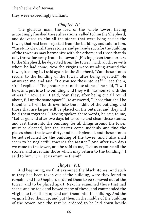they were exceedingly brilliant.

### *Chapter VII*

The glorious man, the lord of the whole tower, having accordingly finished these alterations, called to him the Shepherd, and delivered to him all the stones that were lying beside the tower, that had been rejected from the building, and said to him, "Carefully clean all these stones, and put aside such for the building of the tower as may harmonize with the others; and those that do not, throw far away from the tower." [Having given these orders to the Shepherd, he departed from the tower], with all those with whom he had come. Now the virgins were standing around the tower, keeping it. I said again to the Shepherd, "Can these stones return to the building of the tower, after being rejected?" He answered me, and said, "Do you see these stones?" "I see them, sir," I replied. "The greater part of these stones," he said, "I will hew, and put into the building, and they will harmonize with the others." "How, sir," I said, "can they, after being cut all round about, fill up the same space?" He answered, "Those that shall be found small will be thrown into the middle of the building, and those that are larger will be placed on the outside, and they will hold them together." Having spoken these words, he said to me, "Let us go, and after two days let us come and clean these stones, and cast them into the building; for all things around the tower must be cleaned, lest the Master come suddenly and find the places about the tower dirty, and be displeased, and these stones be not returned for the building of the tower, and I also shall seem to be neglectful towards the Master." And after two days we came to the tower, and he said to me, "Let us examine all the stones, and ascertain those which may return to the building." I said to him, "Sir, let us examine them!"

### *Chapter VIII*

And beginning, we first examined the black stones: And such as they had been taken out of the building, were they found to remain; and the Shepherd ordered them to be removed out of the tower, and to be placed apart. Next he examined those that had scabs; and he took and hewed many of these, and commanded the virgins to take them up and cast them into the building. And the virgins lifted them up, and put them in the middle of the building of the tower. And the rest he ordered to be laid down beside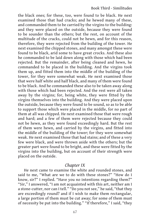the black ones; for these, too, were found to be black. He next examined those that had cracks; and he hewed many of these, and commanded them to be carried by the virgins to the building: and they were placed on the outside, because they were found to be sounder than the others; but the rest, on account of the multitude of the cracks, could not be hewn, and for this reason, therefore, they were rejected from the building of the tower. He next examined the chipped stones, and many amongst these were found to be black, arid some to have great crocks. And these also he commanded to be laid down along with those which had been rejected. But the remainder, after being cleaned and hewn, he commanded to be placed in the building. And the virgins took them up, and fitted them into the middle of the building of the tower, for they were somewhat weak. He next examined those that were half white and half black, and many of them were found to be black. And he commanded these also to be taken away along with those which had been rejected. And the rest were all taken away by the virgins; for, being white, they were fitted by the virgins themselves into the building. And they were placed upon the outside, because they were found to be sound, so as to be able to support those which were placed in the middle, for no part of them at all was chipped. He next examined those that were rough and hard; and a few of them were rejected because they could not be hewn, as they were found exceedingly hard. But the rest of them were hewn, and carried by the virgins, and fitted into the middle of the building of the tower; for they were somewhat weak. He next examined those that had stains; and of these a very few were black, and were thrown aside with the others; but the greater part were found to be bright, and these were fitted by the virgins into the building, but on account of their strength were placed on the outside.

### *Chapter IX*

He next came to examine the white and rounded stones, and said to me, "What are we to do with these stones?" "How do I know, sir?" I replied. "Have you no intentions regarding them?" "Sir," I answered, "I am not acquainted with this art, neither am I a stone-cutter, nor can I tell." "Do you not see," he said, "that they are exceedingly round? and if I wish to make them rectangular, a large portion of them must be cut away; for some of them must of necessity be put into the building." "If therefore," I said, "they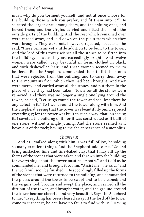must, why do you torment yourself, and not at once choose for the building those which you prefer, and fit them into it?" He selected the larger ones among them, and the shining ones, and hewed them; and the virgins carried and fitted them into the outside parts of the building. And the rest which remained over were carded away, and laid down on the plain from which they were brought. They were not, however, rejected, "because," he said, "there remains yet a little addition to be built to the tower. And the lord of this tower wishes all the stones to be fitted into the building, because they are exceedingly bright." And twelve women were called, very beautiful in form, clothed in black, and with dishevelled hair. And these women seemed to me to be fierce. But the Shepherd commanded them to lift the stones that were rejected from the building, and to carry them away to the mountains from which they had been brought. And they were merry, and carded away all the stones, and put them in the place whence they had been taken. Now after all the stones were removed, and there was no longer a single one lying around the tower, he said, "Let us go round the tower and see, lest there be any defect in it." So I went round the tower along with him. And the Shepherd, seeing that the tower was beautifully built, rejoiced exceedingly; for the tower was built in such a way, that, on seeing it, I coveted the building of it, for it was constructed as if built of one stone, without a single joining. And the stone seemed as if hewn out of the rock; having to me the appearance of a monolith.

# *Chapter X*

And as I walked along with him, I was full of joy, beholding so many excellent things. And the Shepherd said to me, "Go and bring unslacked lime and fine-baked clay, that I may fill up the forms of the stones that were taken and thrown into the building; for everything about the tower must be smooth." And I did as he commanded me, and brought it to him. "Assist me," he said, "and the work will soon be finished." He accordingly filled up the forms of the stones that were returned to the building, and commanded the places around the tower to be swept and to be cleaned; and the virgins took brooms and swept the place, and carried all the dirt out of the tower, and brought water, and the ground around the tower became cheerful and very beautiful. Says the Shepherd to me, "Everything has been cleared away; if the lord of the tower come to inspect it, he can have no fault to find with us." Having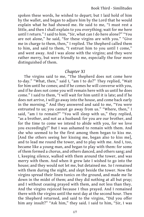spoken these words, he wished to depart; but I laid hold of him by the wallet, and began to adjure him by the Lord that he would explain what he had showed me. He said to me, "I must rest a little, and then I shall explain to you everything; wait for me here until I return." I said to him, "Sir, what can I do here alone?" "You are not alone," he said, "for these virgins are with you." "Give me in charge to them, then," I replied. The Shepherd called them to him, and said to them, "I entrust him to you until I come," and went away. And I was alone with the virgins; and they were rather merry, but were friendly to me, especially the four more distinguished of them.

## *Chapter XI*

The virgins said to me, "The Shepherd does not come here to-day." "What, then," said I, "am I to do?" They replied, "Wait for him until he comes; and if he comes he will converse with you, and if he does not come you will remain here with us until he does come." I said to them, "I will wait for him until it is late; and if he does not arrive, I will go away into the house, and come back early in the morning." And they answered and said to me, "You were entrusted to us; you cannot go away from us." "Where, then," I said, "am I to remain?" "You will sleep with us," they replied, "as a brother, and not as a husband: for you are our brother, and for the time to come we intend to abide with you, for we love you exceedingly!" But I was ashamed to remain with them. And she who seemed to be the first among them began to kiss me. [And the others seeing her kissing me, began also to kiss me], and to lead me round the tower, and to play with me. And I, too, became like a young man, and began to play with them: for some of them formed a chorus, and others danced, and others sang; and I, keeping silence, walked with them around the tower, and was merry with them. And when it grew late I wished to go into the house; and they would not let me, but detained me. So I remained with them during the night, and slept beside the tower. Now the virgins spread their linen tunics on the ground, and made me lie down in the midst of them; and they did nothing at all but pray; and I without ceasing prayed with them, and not less than they. And the virgins rejoiced because I thus prayed. And I remained there with the virgins until the next day at the second hour. Then the Shepherd returned, and said to the virgins, "Did you offer him any insult?" "Ask him," they said. I said to him, "Sir, I was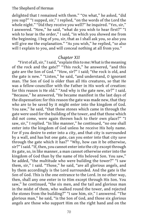delighted that I remained with them." "On what," he asked, "did you sup?" "I supped, sir," I replied, "on the words of the Lord the whole night." "Did they receive you well?" he inquired. "Yes, sir," I answered. "Now," he said, "what do you wish to hear first?" "I wish to hear in the order," I said, "in which you showed me from the beginning. I beg of you, sir, that as I shall ask you, so also you will give me the explanation." "As you wish," he replied, "so also will I explain to you, and will conceal nothing at all from you."

## *Chapter XII*

"First of all, sir," I said, "explain this to me: What is the meaning of the rock and the gate?" "This rock," he answered, "and this gate are the Son of God." "How, sir?" I said; "the rock is old, and the gate is new." "Listen," he said, "and understand, O ignorant man. The Son of God is older than all His creatures, so that He was a fellow-councillor with the Father in His work of creation: for this reason is He old." "And why is the gate new, sir?" I said. "Because," he answered, "He became manifest in the last days of the dispensation: for this reason the gate was made new, that they who are to be saved by it might enter into the kingdom of God. You saw," he said, "that those stones which came in through the gate were used for the building of the tower, and that those which did not come, were again thrown back to their own place?" "I saw, sir," I replied. "In like manner," he continued, "no one shall enter into the kingdom of God unless he receive His holy name. For if you desire to enter into a city, and that city is surrounded by a wall, and has but one gate, can you enter into that city save through the gate which it has?" "Why, how can it be otherwise, sir?" I said. "If, then, you cannot enter into the city except through its gate, so, in like manner, a man cannot otherwise enter into the kingdom of God than by the name of His beloved Son. You saw," he added, "the multitude who were building the tower?" "I saw them, sir," I said. "Those," he said, "are all glorious angels, and by them accordingly is the Lord surrounded. And the gate is the Son of God. This is the one entrance to the Lord. In no other way, then, shall any one enter in to Him except through His Son. You saw," he continued, "the six men, and the tail and glorious man in the midst of them, who walked round the tower, and rejected the stones from the building?" "I saw him, sir," I answered. "The glorious man," he said, "is the Son of God, and those six glorious angels are those who support Him on the right hand and on the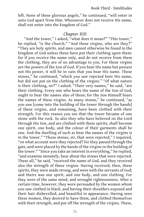left. None of these glorious angels," he continued, "will enter in unto God apart from Him. Whosoever does not receive His name, shall not enter into the kingdom of God."

## *Chapter XIII*

"And the tower," I asked, "what does it mean?" "This tower," he replied, "is the Church." "And these virgins, who are they?" "They are holy spirits, and men cannot otherwise be found in the kingdom of God unless these have put their clothing upon them: for if you receive the name only, and do not receive from them the clothing, they are of no advantage to you. For these virgins are the powers of the Son of God. If you bear His name but possess not His power, it will be in vain that you bear His name. Those stones," he continued, "which you saw rejected bore His name, but did not put on the clothing of the virgins." "Of what nature is their clothing, sir?" I asked. "Their very names," he said, "are their clothing. Every one who bears the name of the Son of God, ought to bear the names also of these; for the Son Himself bears the names of these virgins. As many stones," he continued, "as you saw [come into the building of the tower through the hands] of these virgins, and remaining, have been clothed with their strength. For this reason you see that the tower became of one stone with the rock. So also they who have believed on the Lord through His Son, and are clothed with these spirits, shall become one spirit, one body, and the colour of their garments shall be one. And the dwelling of such as bear the names of the virgins is in the tower." "Those stones, sir, that were rejected," I inquired, "on what account were they rejected? for they passed through the gate, and were placed by the hands of the virgins in the building of the tower." "Since you take an interest in everything," he replied, "and examine minutely, hear about the stones that were rejected. These all," he said, "received the name of God, and they received also the strength of these virgins. Having received, then, these spirits, they were made strong, and were with the servants of God; and theirs was one spirit, and one body, and one clothing. For they were of the same mind, and wrought righteousness. After a certain time, however, they were persuaded by the women whom you saw clothed in black, and having their shoulders exposed and their hair dishevelled, and beautiful in appearance. Having seen these women, they desired to have them, and clothed themselves with their strength, and put off the strength of the virgins. These,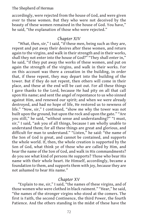accordingly, were rejected from the house of God, and were given over to these women. But they who were not deceived by the beauty of these women remained in the house of God. You have," he said, "the explanation of those who were rejected."

# *Chapter XIV*

"What, then, sir," I said, "if these men, being such as they are, repent and put away their desires after these women, and return again to the virgins, and walk in their strength and in their works, shall they not enter into the house of God?" "They shall enter in," he said, "if they put away the works of these women, and put on again the strength of the virgins, and walk in their works. For on this account was there a cessation in the building, in order that, if these repent, they may depart into the building of the tower. But if they do not repent, then others will come in their place, and these at the end will be cast out. For all these things I gave thanks to the Lord, because He had pity on all that call upon His name; and sent the angel of repentance to us who sinned against Him, and renewed our spirit; and when we were already destroyed, and had no hope of life, He restored us to newness of life." "Now, sir," I continued, "show me why the tower was not built upon the ground, but upon the rock and upon the gate." "Are you still," he said, "without sense and understanding?" "I must, sir," I said, "ask you of all things, because I am wholly unable to understand them; for all these things are great and glorious, and difficult for man to understand." "Listen," he said: "the name of the Son of God is great, and cannot be contained, and supports the whole world. If, then, the whole creation is supported by the Son of God, what think ye of those who are called by Him, and bear the name of the Son of God, and walk in His commandments? do you see what kind of persons He supports? Those who bear His name with their whole heart. He Himself, accordingly, became a foundation to them, and supports them with joy, because they are not ashamed to bear His name."

# *Chapter XV*

"Explain to me, sir," I said, "the names of these virgins, and of those women who were clothed in black raiment." "Hear," he said, "the names of the stronger virgins who stood at the comers. The first is Faith, the second Continence, the third Power, the fourth Patience. And the others standing in the midst of these have the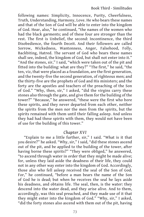following names: Simplicity, Innocence, Purity, Cheerfulness, Truth, Understanding, Harmony, Love. He who bears these names and that of the Son of God will be able to enter into the kingdom of God. Hear, also," he continued, "the names of the women who had the black garments; and of these four are stronger than the rest. The first is Unbelief, the second: Incontinence, the third Disobedience, the fourth Deceit. And their followers are called Sorrow, Wickedness, Wantonness, Anger, Falsehood, Folly, Backbiting, Hatred. The servant of God who bears these names shall see, indeed, the kingdom of God, but shall not enter into it." "And the stones, sir," I said, "which were taken out of the pit and fitted into the building: what are they?" "The first," he said, "the ten, viz, that were placed as a foundation, are the first generation, and the twenty-five the second generation, of righteous men; and the thirty-five are the prophets of God and His ministers; and the forty are the apostles and teachers of the preaching of the Son of God." "Why, then, sir," I asked, "did the virgins carry these stones also through the gate, and give them for the building of the tower?" "Because," he answered, "these were the first who bore these spirits, and they never departed from each other, neither the spirits from the men nor the men from the spirits, but the spirits remained with them until their falling asleep. And unless they had had these spirits with them, they would not have been of use for the building of this tower."

### *Chapter XVI*

"Explain to me a little further, sir," I said. "What is it that you desire?" he asked. "Why, sir," I said, "did these stones ascend out of the pit, and be applied to the building of the tower, after having borne these spirits?" "They were obliged," he answered, "to ascend through water in order that they might be made alive; for, unless they laid aside the deadness of their life, they could not in any other way enter into the kingdom of God. Accordingly, those also who fell asleep received the seal of the Son of God. For," he continued, "before a man bears the name of the Son of God he is dead; but when he receives the seal he lays aside his deadness, and obtains life. The seal, then, is the water: they descend into the water dead, and they arise alive. And to them, accordingly, was this seal preached, and they made use of it that they might enter into the kingdom of God." "Why, sir," I asked, "did the forty stones also ascend with them out of the pit, having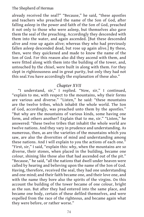already received the seal?" "Because," he said, "these apostles and teachers who preached the name of the Son of God, after falling asleep in the power and faith of the Son of God, preached it not only to those who were asleep, but themselves also gave them the seal of the preaching. Accordingly they descended with them into the water, and again ascended. [But these descended alive and rose up again alive; whereas they who had previously fallen asleep descended dead, but rose up again alive.] By these, then, were they quickened and made to know the name of the Son of God. For this reason also did they ascend with them, and were fitted along with them into the building of the tower, and, untouched by the chisel, were built in along with them. For they slept in righteousness and in great purity, but only they had not this seal.You have accordingly the explanation of these also."

## *Chapter XVII*

"I understand, sir," I replied. "Now, sir," I continued, "explain to me, with respect to the mountains, why their forms are various and diverse." "Listen," he said: "these mountains are the twelve tribes, which inhabit the whole world. The Son of God, accordingly, was preached unto them by the apostles." "But why are the mountains of various kinds, some having one form, and others another? Explain that to me, sir." "Listen," he answered: "these twelve tribes that inhabit the whole world are twelve nations. And they vary in prudence and understanding. As numerous, then, as are the varieties of the mountains which you saw, are also the diversities of mind and understanding among these nations. And I will explain to you the actions of each one." "First, sir," I said, "explain this: why, when the mountains are so diverse, their stones, when placed in the building, became one colour, shining like those also that had ascended out of the pit." "Because," he said, "all the nations that dwell under heaven were called by hearing and believing upon the name of the Son of God. Having, therefore, received the seal, they had one understanding and one mind; and their faith became one, and their love one, and with the name they bore also the spirits of the virgins. On this account the building of the tower became of one colour, bright as the sun. But after they had entered into the same place, and became one body, certain of these defiled themselves, and were expelled from the race of the righteous, and became again what they were before, or rather worse."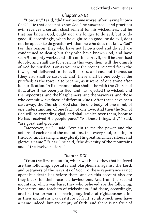### *Chapter XVIII*

"How, sir," I said, "did they become worse, after having known God?" "He that does not know God," he answered, "and practices evil, receives a certain chastisement for his wickedness; but he that has known God, ought not any longer to do evil, but to do good. If, accordingly, when he ought to do good, he do evil, does not he appear to do greater evil than he who does not know God? For this reason, they who have not known God and do evil are condemned to death; but they who have known God, and have seen His mighty works, and still continue in evil, shall be chastised doubly, and shall die for ever. In this way, then, will the Church of God be purified. For as you saw the stones rejected from the tower, and delivered to the evil spirits, and cast out thence, so [they also shall be cast out, and] there shall be one body of the purified; as the tower also became, as it were, of one stone after its purification. In like manner also shall it be with the Church of God, after it has been purified, and has rejected the wicked, and the hypocrites, and the blasphemers, and the waverers, and those who commit wickedness of different kinds. After these have been cast away, the Church of God shall be one body, of one mind, of one understanding, of one faith, of one love. And then the Son of God will be exceeding glad, and shall rejoice over them, because He has received His people pure." "All these things, sir," I said, "are great and glorious."

"Moreover, sir," I said, "explain to me the power and the actions of each one of the mountains, that every soul, trusting in the Lord, and hearing it, may glorify His great, and marvellous, and glorious name." "Hear," he said, "the diversity of the mountains and of the twelve nations."

### *Chapter XIX*

"From the first mountain, which was black, they that believed are the following: apostates and blasphemers against the Lord, and betrayers of the servants of God. To these repentance is not open; but death lies before them, and on this account also are they black, for their race is a lawless one. And from the second mountain, which was bare, they who believed are the following: hypocrites, and teachers of wickedness. And these, accordingly, are like the former, not having any fruits of righteousness; for as their mountain was destitute of fruit, so also such men have a name indeed, but are empty of faith, and there is no fruit of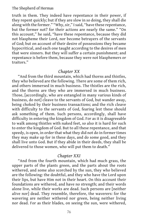truth in them. They indeed have repentance in their power, if they repent quickly; but if they are slow in so doing, they shall die along with the former." "Why, sir," I said, "have these repentance, but the former not? for their actions are nearly the same." "On this account," he said, "have these repentance, because they did not blaspheme their Lord, nor become betrayers of the servants of God; but on account of their desire of possessions they became hypocritical, and each one taught according to the desires of men that were sinners. But they will suffer a certain punishment; and repentance is before them, because they were not blasphemers or traitors."

## *Chapter XX*

"And from the third mountain, which had thorns and thistles, they who believed are the following. There are some of them rich, and others immersed in much business. The thistles are the rich, and the thorns are they who are immersed in much business. Those, [accordingly, who are entangled in many various kinds of business, do not] cleave to the servants of God, but wander away, being choked by their business transactions; and the rich cleave with difficulty to the servants of God, fearing lest these should ask something of them. Such persons, accordingly, shall have difficulty in entering the kingdom of God. For as it is disagreeable to walk among thistles with naked feet, so also it is hard for such to enter the kingdom of God. But to all these repentance, and that speedy, is open, in order that what they did not do in former times they may make up for in these days, and do some good, and they shall live unto God. But if they abide in their deeds, they shall be delivered to those women, who will put them to death."

#### *Chapter XXI*

"And from the fourth mountain, which had much grass, the upper parts of the plants green, and the parts about the roots withered, and some also scorched by the sun, they who believed are the following: the doubtful, and they who have the Lord upon their lips, but have Him not in their heart. On this account their foundations are withered, and have no strength; and their words alone live, while their works are dead. Such persons are [neither alive nor] dead. They resemble, therefore, the waverers: for the wavering are neither withered nor green, being neither living nor dead. For as their blades, on seeing the sun, were withered,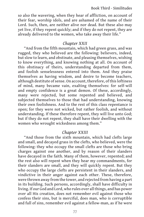so also the wavering, when they hear of affliction, on account of their fear, worship idols, and are ashamed of the name of their Lord. Such, then, are neither alive nor dead. But these also may yet live, if they repent quickly; and if they do not repent, they are already delivered to the women, who take away their life."

## *Chapter XXII*

"And from the fifth mountain, which had green grass, and was rugged, they who believed are the following: believers, indeed, but slow to learn, and obstinate, and pleasing themselves, wishing to know everything, and knowing nothing at all. On account of this obstinacy of theirs, understanding departed from them, and foolish senselessness entered into them. And they praise themselves as having wisdom, and desire to become teachers, although destitute of sense. On account, therefore, of this loftiness of mind, many became vain, exalting themselves: for self-will and empty confidence is a great demon. Of these, accordingly, many were rejected, but some repented and believed, and subjected themselves to those that had understanding, knowing their own foolishness. And to the rest of this class repentance is open; for they were not wicked, but rather foolish, and without understanding. If these therefore repent, they will live unto God; but if they do not repent, they shall have their dwelling with the women who wrought wickedness among them."

## *Chapter XXIII*

"And those from the sixth mountain, which had clefts large and small, and decayed grass in the clefts, who believed, were the following: they who occupy the small clefts are those who bring charges against one another, and by reason of their slanders have decayed in the faith. Many of them, however, repented; and the rest also will repent when they hear my commandments, for their slanders are small, and they will quickly repent. But they who occupy the large clefts are persistent in their slanders, and vindictive in their anger against each other. These, therefore, were thrown away from the tower, and rejected from having a part in its building. Such persons, accordingly, shall have difficulty in living. If our God and Lord, who rules over all things, and has power over all His creation, does not remember evil against those who confess their sins, but is merciful, does man, who is corruptible and full of sins, remember evil against a fellow-man, as if he were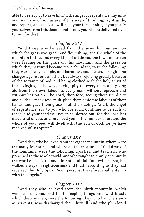able to destroy or to save him? I, the angel of repentance, say unto you, As many of you as are of this way of thinking, lay it aside, and repent, and the Lord will heal your former sins, if you purify yourselves from this demon; but if not, you will be delivered over to him for death."

## *Chapter XXIV*

"And those who believed from the seventh mountain, on which the grass was green and flourishing, and the whole of the mountain fertile, and every kind of cattle and the fowls of heaven were feeding on the grass on this mountain, and the grass on which they pastured became more abundant, were the following: they were always simple, and harmless, and blessed, bringing no charges against one another, but always rejoicing greatly because of the servants of God, and being clothed with the holy spirit of these virgins, and always having pity on every man, and giving aid from their own labour to every man, without reproach and without hesitation. The Lord, therefore, seeing their simplicity and all their meekness, multiplied them amid the labours of their hands, and gave them grace in all their doings. And I, the angel of repentance, say to you who are such, Continue to be such as these, and your seed will never be blotted out; for the Lord has made trial of you, and inscribed you in the number of us, and the whole of your seed will dwell with the Son of God; for ye have received of His Spirit."

## *Chapter XXV*

"And they who believed from the eighth mountain, where were the many fountains, and where all the creatures of God drank of the fountains, were the following: apostles, and teachers, who preached to the whole world, and who taught solemnly and purely the word of the Lord, and did not at all fall into evil desires, but walked always in righteousness and truth, according as they had received the Holy Spirit. Such persons, therefore, shall enter in with the angels."

## *Chapter XXVI*

"And they who believed from the ninth mountain, which was deserted, and had in it creeping things and wild beasts which destroy men, were the following: they who had the stains as servants, who discharged their duty ill, and who plundered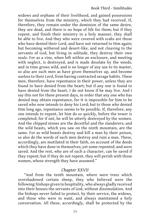widows and orphans of their livelihood, and gained possessions for themselves from the ministry, which they had received. If, therefore, they remain under the dominion of the same desire, they are dead, and there is no hope of life for them; but if they repent, and finish their ministry in a holy manner, they shall be able to live. And they who were covered with scabs are those who have denied their Lord, and have not returned to Him again; but becoming withered and desert-like, and not cleaving to the servants of God, but living in solitude, they destroy their own souls. For as a vine, when left within an enclosure, and meeting with neglect, is destroyed, and is made desolate by the weeds, and in time grows wild, and is no longer of any use to its master, so also are such men as have given themselves up, and become useless to their Lord, from having contracted savage habits. These men, therefore, have repentance in their power, unless they are found to have denied from the heart; but if any one is found to have denied from the heart, I do not know if he may live. And I say this not for these present days, in order that any one who has denied may obtain repentance, for It is impossible for him to be saved who now intends to deny his Lord; but to those who denied Him long ago, repentance seems to be possible. If, therefore, any one intends to repent, let him do so quickly, before the tower is completed; for if not, he will be utterly destroyed by the women. And the chipped stones are the deceitful and the slanderers; and the wild beasts, which you saw on the ninth mountain, are the same. For as wild beasts destroy and kill a man by their poison, so also do the words of such men destroy and ruin a man. These, accordingly, are mutilated in their faith, on account of the deeds which they have done in themselves; yet some repented, and were saved. And the rest, who are of such a character, can be saved if they repent; but if they do not repent, they will perish with those women, whose strength they have assumed."

### *Chapter XXVII*

"And from the tenth mountain, where were trees which overshadowed certain sheep, they who believed were the following: bishops given to hospitality, who always gladly received into their houses the servants of God, without dissimulation. And the bishops never failed to protect, by their service, the widows, and those who were in want, and always maintained a holy conversation. All these, accordingly, shall be protected by the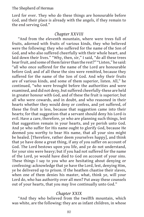Lord for ever. They who do these things are honourable before God, and their place is already with the angels, if they remain to the end serving God."

### *Chapter XXVIII*

"And from the eleventh mountain, where were trees full of fruits, adorned with fruits of various kinds, they who believed were the following: they who suffered for the name of the Son of God, and who also suffered cheerfully with their whole heart, and laid down their lives." "Why, then, sir," I said, "do all these trees bear fruit, and some of them fairer than the rest?" "Listen," he said: "all who once suffered for the name of the Lord are honourable before God; and of all these the sins were remitted, because they suffered for the name of the Son of God. And why their fruits are of various kinds, and some of them superior, listen. All," he continued, "who were brought before the authorities and were examined, and did not deny, but suffered cheerfully-these are held in greater honour with God, and of these the fruit is superior; but all who were cowards, and in doubt, and who reasoned in their hearts whether they would deny or confess, and yet suffered, of these the fruit is less, because that suggestion came into their hearts; for that suggestion-that a servant should deny his Lord-is evil. Have a care, therefore, ye who are planning such things, lest that suggestion remain in your hearts, and ye perish unto God. And ye who suffer for His name ought to glorify God, because He deemed you worthy to bear His name, that all your sins might be healed. [Therefore, rather deem yourselves happy], and think that ye have done a great thing, if any of you suffer on account of God. The Lord bestows upon you life, and ye do not understand, for your sins were heavy; but if you had not suffered for the name of the Lord, ye would have died to God on account of your sins. These things I say to you who are hesitating about denying or confessing: acknowledge that ye have the Lord, lest, denying Him, ye be delivered up to prison. If the heathen chastise their slaves, when one of them denies his master, what, think ye, will your Lord do, who has authority over all men? Put away these counsels out of your hearts, that you may live continually unto God."

# *Chapter XXIX*

"And they who believed from the twelfth mountain, which was white, are the following: they are as infant children, in whose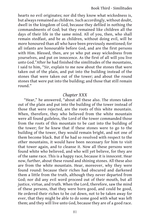hearts no evil originates; nor did they know what wickedness is, but always remained as children. Such accordingly, without doubt, dwell in the kingdom of God, because they defiled in nothing the commandments of God; but they remained like children all the days of their life in the same mind. All of you, then, who shall remain stedfast, and be as children, without doing evil, will be more honoured than all who have been previously mentioned; for all infants are honourable before God, and are the first persons with Him. Blessed, then, are ye who put away wickedness from yourselves, and put on innocence. As the first of all will you live unto God."After he had finished the similitudes of the mountains, I said to him, "Sir, explain to me now about the stones that were taken out of the plain, and put into the building instead of the stones that were taken out of the tower; and about the round stones that were put into the building; and those that still remain round."

# *Chapter XXX*

"Hear," he answered, "about all these also. The stones taken out of the plain and put into the building of the tower instead of those that were rejected, are the roots of this white mountain. When, therefore, they who believed from the white mountain were all found guileless, the Lord of the tower commanded those from the roots of this mountain to be cast into the building of the tower; for he knew that if these stones were to go to the building of the tower, they would remain bright, and not one of them become black. But if he had so resolved with respect to the other mountains, it would have been necessary for him to visit that tower again, and to cleanse it. Now all these persons were found white who believed, and who will yet believe, for they are of the same race. This is a happy race, because it is innocent. Hear now, further, about these round and shining stones. All these also are from the white mountain. Hear, moreover, why they were found round: because their riches had obscured and darkened them a little from the truth, although they never departed from God; nor did any evil word proceed out of their mouth, but all justice, virtue, and truth. When the Lord, therefore, saw the mind of these persons, that they were born good, and could be good, He ordered their riches to be cut down, not to be taken away for ever, that they might be able to do some good with what was left them; and they will live unto God, because they are of a good race.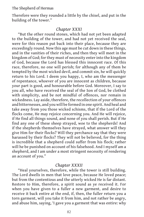Therefore were they rounded a little by the chisel, and put in the building of the tower."

### *Chapter XXXI*

"But the other round stones, which had not yet been adapted to the building of the tower, and had not yet received the seal, were for this reason put back into their place, because they are exceedingly round. Now this age must be cut down in these things, and in the vanities of their riches, and then they will meet in the kingdom of God; for they must of necessity enter into the kingdom of God, because the Lord has blessed this innocent race. Of this race, therefore, no one will perish; for although any of them be tempted by the most wicked devil, and commit sin, he will quickly return to his Lord. I deem you happy, I, who am the messenger of repentance, whoever of you are innocent as children, because your part is good, and honourable before God. Moreover, I say to you all, who have received the seal of the Son of God, be clothed with simplicity, and be not mindful of offences, nor remain in wickedness. Lay aside, therefore, the recollection of your offences and bitternesses, and you will be formed in one spirit. And heal and take away from you those wicked schisms, that if the Lord of the flocks come, He may rejoice concerning you. And He will rejoice, if He find all things sound, and none of you shall perish. But if He find any one of these sheep strayed, woe to the shepherds! And if the shepherds themselves have strayed, what answer will they give Him for their flocks? Will they perchance say that they were harassed by their flocks? They will not be believed, for the thing is incredible that a shepherd could suffer from his flock; rather will he be punished on account of his falsehood. And I myself am a shepherd, and I am under a most stringent necessity of rendering an account of you."

## *Chapter XXXII*

"Heal yourselves, therefore, while the tower is still building. The Lord dwells in men that love peace, because He loved peace; but from the contentious and the utterly wicked He is far distant. Restore to Him, therefore, a spirit sound as ye received it. For when you have given to a fuller a new garment, and desire to receive it back entire at the end, if, then, the fuller return you a torn garment, will you take it from him, and not rather be angry, and abuse him, saying, 'I gave you a garment that was entire: why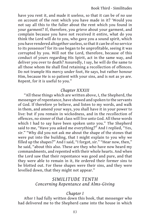have you rent it, and made it useless, so that it can be of no use on account of the rent which you have made in it? 'Would you not say all this to the fuller about the rent which you found in your garment? If, therefore, you grieve about your garment, and complain because you have not received it entire, what do you think the Lord will do to you, who gave you a sound spirit, which you have rendered altogether useless, so that it can be of no service to its possessor? for its use began to be unprofitable, seeing it was corrupted by you. Will not the Lord, therefore, because of this conduct of yours regarding His Spirit, act in the same way, and deliver you over to death? Assuredly, I say, he will do the same to all those whom He shall find retaining a recollection of offences. Do not trample His mercy under foot, He says, but rather honour Him, because He is so patient with your sins, and is not as ye are. Repent, for it is useful to you."

## *Chapter XXXIII*

"All these things which are written above, I, the Shepherd, the messenger of repentance, have showed and spoken to the servants of God. If therefore ye believe, and listen to my words, and walk in them, and amend your ways, you shall have it in your power to live: but if you remain in wickedness, and in the recollection of offences, no sinner of that class will live unto God. All these words which I had to say have been spoken unto you." The Shepherd said to me, "Have you asked me everything?" And I replied, "Yes, sir." "Why did you not ask me about the shape of the stones that were put into the building, that I might explain to you why we filled up the shapes?" And I said, "I forgot, sir." "Hear now, then," he said, "about this also. These are they who have now heard my commandments, and repented with their whole hearts. And when the Lord saw that their repentance was good and pure, and that they were able to remain in it, He ordered their former sins to be blotted out. For these shapes were their sins, and they were levelled down, that they might not appear."

# *SIMILITUDE TENTH Concerning Repentance and Alms-Giving*

## *Chapter I*

After I had fully written down this book, that messenger who had delivered me to the Shepherd came into the house in which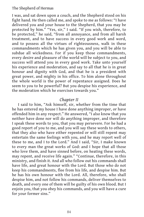I was, and sat down upon a couch, and the Shepherd stood on his fight hand. He then called me, and spoke to me as follows: "I have delivered you and your house to the Shepherd, that you may be protected by him." "Yes, sir," I said. "If you wish, therefore, to be protected," he said, "from all annoyance, and from all harsh treatment, and to have success in every good work and word, and to possess all the virtues of righteousness, walk in these commandments which he has given you, and you will be able to subdue all wickedness. For if you keep those commandments, every desire and pleasure of the world will be subject to you, and success will attend you in every good work. Take unto yourself his experience and moderation, and say to all that he is in great honour and dignity with God, and that he is a president with great power, and mighty in his office. To him alone throughout the whole world is the power of repentance assigned. Does he seem to you to be powerful? But you despise his experience, and the moderation which he exercises towards you."

# *Chapter II*

I said to him, "Ask himself, sir, whether from the time that he has entered my house I have done anything improper, or have offended him in any respect." He answered, "I also know that you neither have done nor will do anything improper, and therefore I speak these words to you, that you may persevere. For he had a good report of you to me, and you will say these words to others, that they also who have either repented or will still repent may entertain the same feelings with you, and he may report well of these to me, and I to the Lord." And I said, "Sir, I make known to every man the great works of God: and I hope that all those who love them, and have sinned before, on heating these words, may repent, and receive life again." "Continue, therefore, in this ministry, and finish it. And all who follow out his commands shall have life, and great honour with the Lord. But those who do not keep his commandments, flee from his life, and despise him. But he has his own honour with the Lord. All, therefore, who shall despise him, and not follow his commands, deliver themselves to death, and every one of them will be guilty of his own blood. But I enjoin you, that you obey his commands, and you will have a cure for your former sins."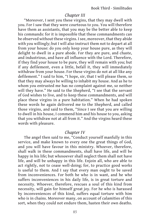# *Chapter III*

"Moreover, I sent you these virgins, that they may dwell with you. For I saw that they were courteous to you. You will therefore have them as assistants, that you may be the better able to keep his commands: for it is impossible that these commandments can be observed without these virgins. I see, moreover, that they abide with you willingly; but I will also instruct them not to depart at all from your house: do you only keep your house pure, as they will delight to dwell in a pure abode. For they are pure, and chaste, and industrious, and have all influence with the Lord. Therefore, if they find your house to be pure, they will remain with you; but if any defilement, even a little, befall it, they will immediately withdraw from your house. For these virgins do not at all like any defilement." I said to him, "I hope, sir, that I will please them, so that they may always be willing to inhabit my house. And as he to whom you entrusted me has no complaint against me, so neither will they have." He said to the Shepherd, "I see that the servant of God wishes to live, and to keep these commandments, and will place these virgins in a pure habitation." When he had spoken these words he again delivered me to the Shepherd, and called those virgins, and said to them, "Since I see that you are willing to dwell in his house, I commend him and his house to you, asking that you withdraw not at all from it." And the virgins heard these words with pleasure.

## *Chapter IV*

The angel then said to me, "Conduct yourself manfully in this service, and make known to every one the great things of God, and you will have favour in this ministry. Whoever, therefore, shall walk in these commandments, shall have life, and will be happy in his life; but whosoever shall neglect them shall not have life, and will be unhappy in this life. Enjoin all, who are able to act rightly, not to cease well-doing; for, to practice good works is useful to them. And I say that every man ought to be saved from inconveniences. For both he who is in want, and he who suffers inconveniences in his daily life, is in great torture and necessity. Whoever, therefore, rescues a soul of this kind from necessity, will gain for himself great joy. For he who is harassed by inconveniences of this kind, suffers equal torture with him who is in chains. Moreover many, on account of calamities of this sort, when they could not endure them, hasten their own deaths.